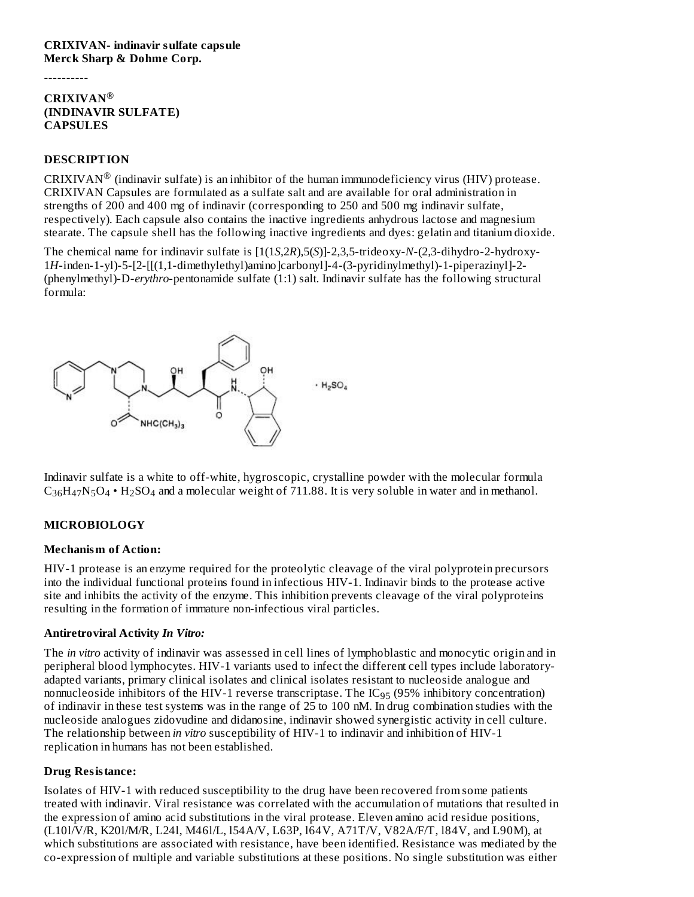#### **CRIXIVAN- indinavir sulfate capsule Merck Sharp & Dohme Corp.**

----------

#### **CRIXIVAN ® (INDINAVIR SULFATE) CAPSULES**

#### **DESCRIPTION**

CRIXIVAN<sup>®</sup> (indinavir sulfate) is an inhibitor of the human immunodeficiency virus (HIV) protease. CRIXIVAN Capsules are formulated as a sulfate salt and are available for oral administration in strengths of 200 and 400 mg of indinavir (corresponding to 250 and 500 mg indinavir sulfate, respectively). Each capsule also contains the inactive ingredients anhydrous lactose and magnesium stearate. The capsule shell has the following inactive ingredients and dyes: gelatin and titanium dioxide.

The chemical name for indinavir sulfate is [1(1*S*,2*R*),5(*S*)]-2,3,5-trideoxy-*N*-(2,3-dihydro-2-hydroxy-1*H*-inden-1-yl)-5-[2-[[(1,1-dimethylethyl)amino]carbonyl]-4-(3-pyridinylmethyl)-1-piperazinyl]-2- (phenylmethyl)-D-*erythro*-pentonamide sulfate (1:1) salt. Indinavir sulfate has the following structural formula:



Indinavir sulfate is a white to off-white, hygroscopic, crystalline powder with the molecular formula  $C_{36}H_{47}N_5O_4 \cdot H_2SO_4$  and a molecular weight of 711.88. It is very soluble in water and in methanol.

### **MICROBIOLOGY**

#### **Mechanism of Action:**

HIV-1 protease is an enzyme required for the proteolytic cleavage of the viral polyprotein precursors into the individual functional proteins found in infectious HIV-1. Indinavir binds to the protease active site and inhibits the activity of the enzyme. This inhibition prevents cleavage of the viral polyproteins resulting in the formation of immature non-infectious viral particles.

#### **Antiretroviral Activity** *In Vitro:*

The *in vitro* activity of indinavir was assessed in cell lines of lymphoblastic and monocytic origin and in peripheral blood lymphocytes. HIV-1 variants used to infect the different cell types include laboratoryadapted variants, primary clinical isolates and clinical isolates resistant to nucleoside analogue and nonnucleoside inhibitors of the HIV-1 reverse transcriptase. The  $\rm IC_{95}$  (95% inhibitory concentration) of indinavir in these test systems was in the range of 25 to 100 nM. In drug combination studies with the nucleoside analogues zidovudine and didanosine, indinavir showed synergistic activity in cell culture. The relationship between *in vitro* susceptibility of HIV-1 to indinavir and inhibition of HIV-1 replication in humans has not been established.

### **Drug Resistance:**

Isolates of HIV-1 with reduced susceptibility to the drug have been recovered from some patients treated with indinavir. Viral resistance was correlated with the accumulation of mutations that resulted in the expression of amino acid substitutions in the viral protease. Eleven amino acid residue positions, (L10l/V/R, K20l/M/R, L24l, M46l/L, l54A/V, L63P, l64V, A71T/V, V82A/F/T, l84V, and L90M), at which substitutions are associated with resistance, have been identified. Resistance was mediated by the co-expression of multiple and variable substitutions at these positions. No single substitution was either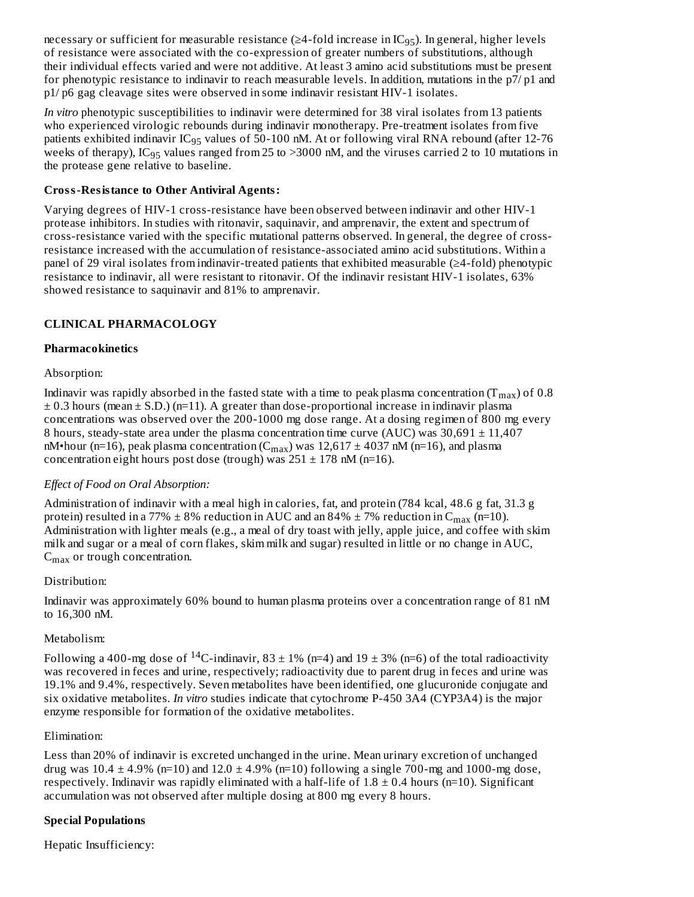necessary or sufficient for measurable resistance (≥4-fold increase in IC<sub>95</sub>). In general, higher levels of resistance were associated with the co-expression of greater numbers of substitutions, although their individual effects varied and were not additive. At least 3 amino acid substitutions must be present for phenotypic resistance to indinavir to reach measurable levels. In addition, mutations in the p7/ p1 and p1/ p6 gag cleavage sites were observed in some indinavir resistant HIV-1 isolates.

*In vitro* phenotypic susceptibilities to indinavir were determined for 38 viral isolates from 13 patients who experienced virologic rebounds during indinavir monotherapy. Pre-treatment isolates from five patients exhibited indinavir IC $_{95}$  values of 50-100 nM. At or following viral RNA rebound (after 12-76 weeks of therapy), IC $_{95}$  values ranged from 25 to >3000 nM, and the viruses carried 2 to 10 mutations in the protease gene relative to baseline.

### **Cross-Resistance to Other Antiviral Agents:**

Varying degrees of HIV-1 cross-resistance have been observed between indinavir and other HIV-1 protease inhibitors. In studies with ritonavir, saquinavir, and amprenavir, the extent and spectrum of cross-resistance varied with the specific mutational patterns observed. In general, the degree of crossresistance increased with the accumulation of resistance-associated amino acid substitutions. Within a panel of 29 viral isolates from indinavir-treated patients that exhibited measurable (≥4-fold) phenotypic resistance to indinavir, all were resistant to ritonavir. Of the indinavir resistant HIV-1 isolates, 63% showed resistance to saquinavir and 81% to amprenavir.

## **CLINICAL PHARMACOLOGY**

### **Pharmacokinetics**

#### Absorption:

Indinavir was rapidly absorbed in the fasted state with a time to peak plasma concentration (T $_{\rm max}$ ) of 0.8  $\pm$  0.3 hours (mean  $\pm$  S.D.) (n=11). A greater than dose-proportional increase in indinavir plasma concentrations was observed over the 200-1000 mg dose range. At a dosing regimen of 800 mg every 8 hours, steady-state area under the plasma concentration time curve (AUC) was  $30,691 \pm 11,407$ nM•hour (n=16), peak plasma concentration ( $C_{max}$ ) was 12,617  $\pm$  4037 nM (n=16), and plasma concentration eight hours post dose (trough) was  $251 \pm 178$  nM (n=16).

### *Effect of Food on Oral Absorption:*

Administration of indinavir with a meal high in calories, fat, and protein (784 kcal, 48.6 g fat, 31.3 g protein) resulted in a 77%  $\pm$  8% reduction in AUC and an 84%  $\pm$  7% reduction in C $_{\rm max}$  (n=10). Administration with lighter meals (e.g., a meal of dry toast with jelly, apple juice, and coffee with skim milk and sugar or a meal of corn flakes, skim milk and sugar) resulted in little or no change in AUC,  $C_{max}$  or trough concentration.

### Distribution:

Indinavir was approximately 60% bound to human plasma proteins over a concentration range of 81 nM to 16,300 nM.

### Metabolism:

Following a 400-mg dose of <sup>14</sup>C-indinavir, 83  $\pm$  1% (n=4) and 19  $\pm$  3% (n=6) of the total radioactivity was recovered in feces and urine, respectively; radioactivity due to parent drug in feces and urine was 19.1% and 9.4%, respectively. Seven metabolites have been identified, one glucuronide conjugate and six oxidative metabolites. *In vitro* studies indicate that cytochrome P-450 3A4 (CYP3A4) is the major enzyme responsible for formation of the oxidative metabolites.

### Elimination:

Less than 20% of indinavir is excreted unchanged in the urine. Mean urinary excretion of unchanged drug was  $10.4 \pm 4.9\%$  (n=10) and  $12.0 \pm 4.9\%$  (n=10) following a single 700-mg and 1000-mg dose, respectively. Indinavir was rapidly eliminated with a half-life of  $1.8 \pm 0.4$  hours (n=10). Significant accumulation was not observed after multiple dosing at 800 mg every 8 hours.

### **Special Populations**

Hepatic Insufficiency: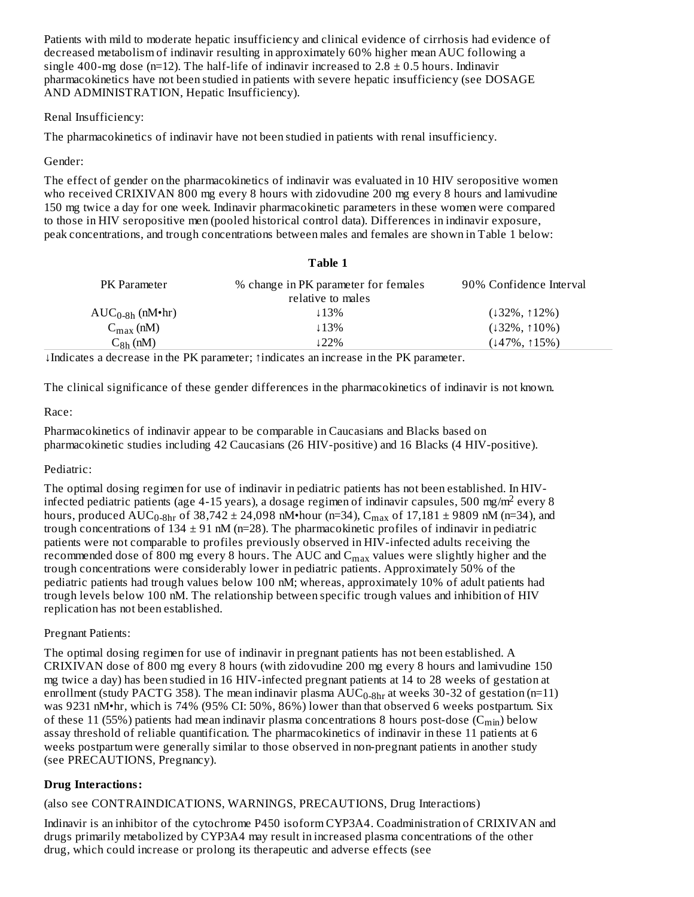Patients with mild to moderate hepatic insufficiency and clinical evidence of cirrhosis had evidence of decreased metabolism of indinavir resulting in approximately 60% higher mean AUC following a single 400-mg dose ( $n=12$ ). The half-life of indinavir increased to 2.8  $\pm$  0.5 hours. Indinavir pharmacokinetics have not been studied in patients with severe hepatic insufficiency (see DOSAGE AND ADMINISTRATION, Hepatic Insufficiency).

### Renal Insufficiency:

The pharmacokinetics of indinavir have not been studied in patients with renal insufficiency.

### Gender:

The effect of gender on the pharmacokinetics of indinavir was evaluated in 10 HIV seropositive women who received CRIXIVAN 800 mg every 8 hours with zidovudine 200 mg every 8 hours and lamivudine 150 mg twice a day for one week. Indinavir pharmacokinetic parameters in these women were compared to those in HIV seropositive men (pooled historical control data). Differences in indinavir exposure, peak concentrations, and trough concentrations between males and females are shown in Table 1 below:

| Table 1               |                                                           |                         |  |  |  |
|-----------------------|-----------------------------------------------------------|-------------------------|--|--|--|
| PK Parameter          | % change in PK parameter for females<br>relative to males | 90% Confidence Interval |  |  |  |
| $AUC_{0-8h}$ (nM•hr)  | ⊥13%                                                      | $(132\%, 12\%)$         |  |  |  |
| $C_{\text{max}}$ (nM) | ⊥13%                                                      | $(132\%, 10\%)$         |  |  |  |
| $C_{8h}$ (nM)         | 122%                                                      | $(147\%, 15\%)$         |  |  |  |

↓Indicates a decrease in the PK parameter; ↑indicates an increase in the PK parameter.

The clinical significance of these gender differences in the pharmacokinetics of indinavir is not known.

### Race:

Pharmacokinetics of indinavir appear to be comparable in Caucasians and Blacks based on pharmacokinetic studies including 42 Caucasians (26 HIV-positive) and 16 Blacks (4 HIV-positive).

### Pediatric:

The optimal dosing regimen for use of indinavir in pediatric patients has not been established. In HIVinfected pediatric patients (age 4-15 years), a dosage regimen of indinavir capsules, 500 mg/m<sup>2</sup> every 8 hours, produced  $\mathrm{AUC_{0-8hr}}$  of 38,742  $\pm$  24,098 nM•hour (n=34),  $\mathrm{C_{max}}$  of 17,181  $\pm$  9809 nM (n=34), and trough concentrations of  $134 \pm 91$  nM (n=28). The pharmacokinetic profiles of indinavir in pediatric patients were not comparable to profiles previously observed in HIV-infected adults receiving the recommended dose of 800 mg every 8 hours. The AUC and  $\textsf{C}_{\max}$  values were slightly higher and the trough concentrations were considerably lower in pediatric patients. Approximately 50% of the pediatric patients had trough values below 100 nM; whereas, approximately 10% of adult patients had trough levels below 100 nM. The relationship between specific trough values and inhibition of HIV replication has not been established.

### Pregnant Patients:

The optimal dosing regimen for use of indinavir in pregnant patients has not been established. A CRIXIVAN dose of 800 mg every 8 hours (with zidovudine 200 mg every 8 hours and lamivudine 150 mg twice a day) has been studied in 16 HIV-infected pregnant patients at 14 to 28 weeks of gestation at enrollment (study PACTG 358). The mean indinavir plasma  $\mathrm{AUC_{0\text{-}8hr}}$  at weeks 30-32 of gestation (n=11) was 9231 nM•hr, which is 74% (95% CI: 50%, 86%) lower than that observed 6 weeks postpartum. Six of these 11 (55%) patients had mean indinavir plasma concentrations 8 hours post-dose (C $_{\rm min}$ ) below assay threshold of reliable quantification. The pharmacokinetics of indinavir in these 11 patients at 6 weeks postpartum were generally similar to those observed in non-pregnant patients in another study (see PRECAUTIONS, Pregnancy).

# **Drug Interactions:**

(also see CONTRAINDICATIONS, WARNINGS, PRECAUTIONS, Drug Interactions)

Indinavir is an inhibitor of the cytochrome P450 isoform CYP3A4. Coadministration of CRIXIVAN and drugs primarily metabolized by CYP3A4 may result in increased plasma concentrations of the other drug, which could increase or prolong its therapeutic and adverse effects (see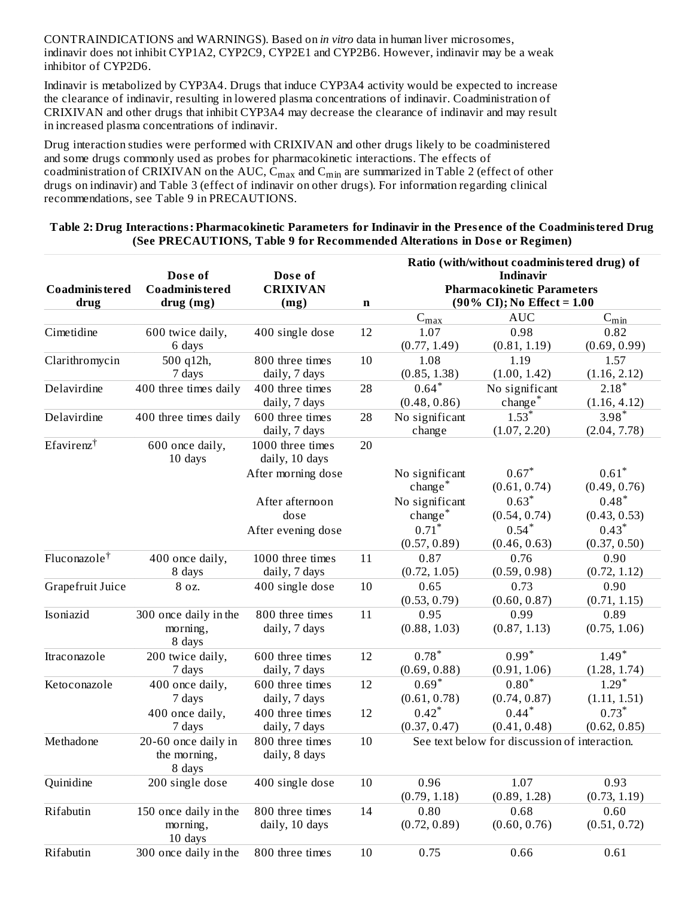CONTRAINDICATIONS and WARNINGS). Based on *in vitro* data in human liver microsomes, indinavir does not inhibit CYP1A2, CYP2C9, CYP2E1 and CYP2B6. However, indinavir may be a weak inhibitor of CYP2D6.

Indinavir is metabolized by CYP3A4. Drugs that induce CYP3A4 activity would be expected to increase the clearance of indinavir, resulting in lowered plasma concentrations of indinavir. Coadministration of CRIXIVAN and other drugs that inhibit CYP3A4 may decrease the clearance of indinavir and may result in increased plasma concentrations of indinavir.

Drug interaction studies were performed with CRIXIVAN and other drugs likely to be coadministered and some drugs commonly used as probes for pharmacokinetic interactions. The effects of coadministration of CRIXIVAN on the AUC,  $\rm{C_{max}}$  and  $\rm{C_{min}}$  are summarized in Table 2 (effect of other drugs on indinavir) and Table 3 (effect of indinavir on other drugs). For information regarding clinical recommendations, see Table 9 in PRECAUTIONS.

#### **Table 2: Drug Interactions: Pharmacokinetic Parameters for Indinavir in the Pres ence of the Coadministered Drug (See PRECAUTIONS, Table 9 for Recommended Alterations in Dos e or Regimen)**

|                          |                        |                    |             |                                        | Ratio (with/without coadministered drug) of   |                       |
|--------------------------|------------------------|--------------------|-------------|----------------------------------------|-----------------------------------------------|-----------------------|
|                          | Dose of                | Dose of            |             |                                        | <b>Indinavir</b>                              |                       |
| Coadministered           | Coadministered         | <b>CRIXIVAN</b>    |             |                                        | <b>Pharmacokinetic Parameters</b>             |                       |
| drug                     | drug (mg)              | (mg)               | $\mathbf n$ | $(90\% \text{ CI})$ ; No Effect = 1.00 |                                               |                       |
|                          |                        |                    |             | $C_{\hbox{\scriptsize max}}$           | <b>AUC</b>                                    | $C_{\underline{min}}$ |
| Cimetidine               | 600 twice daily,       | 400 single dose    | 12          | 1.07                                   | 0.98                                          | 0.82                  |
|                          | 6 days                 |                    |             | (0.77, 1.49)                           | (0.81, 1.19)                                  | (0.69, 0.99)          |
| Clarithromycin           | 500 q12h,              | 800 three times    | 10          | 1.08                                   | 1.19                                          | 1.57                  |
|                          | 7 days                 | daily, 7 days      |             | (0.85, 1.38)                           | (1.00, 1.42)                                  | (1.16, 2.12)          |
| Delavirdine              | 400 three times daily  | 400 three times    | 28          | $0.64*$                                | No significant                                | $2.18*$               |
|                          |                        | daily, 7 days      |             | (0.48, 0.86)                           | change*                                       | (1.16, 4.12)          |
| Delavirdine              | 400 three times daily  | 600 three times    | 28          | No significant                         | $1.53*$                                       | $3.98*$               |
|                          |                        | daily, 7 days      |             | change                                 | (1.07, 2.20)                                  | (2.04, 7.78)          |
| Efavirenz <sup>†</sup>   | 600 once daily,        | 1000 three times   | 20          |                                        |                                               |                       |
|                          | 10 days                | daily, 10 days     |             |                                        |                                               |                       |
|                          |                        | After morning dose |             | No significant                         | $0.67*$                                       | $0.61*$               |
|                          |                        |                    |             | change <sup>*</sup>                    | (0.61, 0.74)                                  | (0.49, 0.76)          |
|                          |                        | After afternoon    |             | No significant                         | $0.63*$                                       | $0.48*$               |
|                          |                        | dose               |             | change*                                | (0.54, 0.74)                                  | (0.43, 0.53)          |
|                          |                        | After evening dose |             | $0.71*$                                | $0.54*$                                       | $0.43*$               |
|                          |                        |                    |             | (0.57, 0.89)                           | (0.46, 0.63)                                  | (0.37, 0.50)          |
| Fluconazole <sup>†</sup> | 400 once daily,        | 1000 three times   | 11          | 0.87                                   | 0.76                                          | 0.90                  |
|                          | 8 days                 | daily, 7 days      |             | (0.72, 1.05)                           | (0.59, 0.98)                                  | (0.72, 1.12)          |
| Grapefruit Juice         | 8 oz.                  | 400 single dose    | 10          | 0.65                                   | 0.73                                          | 0.90                  |
|                          |                        |                    |             | (0.53, 0.79)                           | (0.60, 0.87)                                  | (0.71, 1.15)          |
| Isoniazid                | 300 once daily in the  | 800 three times    | 11          | 0.95                                   | 0.99                                          | 0.89                  |
|                          | morning,<br>8 days     | daily, 7 days      |             | (0.88, 1.03)                           | (0.87, 1.13)                                  | (0.75, 1.06)          |
| Itraconazole             | 200 twice daily,       | 600 three times    | 12          | $0.78*$                                | $0.99*$                                       | $1.49*$               |
|                          | 7 days                 | daily, 7 days      |             | (0.69, 0.88)                           | (0.91, 1.06)                                  | (1.28, 1.74)          |
| Ketoconazole             | 400 once daily,        | 600 three times    | 12          | $0.69*$                                | $0.80*$                                       | $1.29*$               |
|                          | 7 days                 | daily, 7 days      |             | (0.61, 0.78)                           | (0.74, 0.87)                                  | (1.11, 1.51)          |
|                          | 400 once daily,        | 400 three times    | 12          | $0.42*$                                | $0.44*$                                       | $0.73*$               |
|                          | 7 days                 | daily, 7 days      |             | (0.37, 0.47)                           | (0.41, 0.48)                                  | (0.62, 0.85)          |
| Methadone                | 20-60 once daily in    | 800 three times    | 10          |                                        | See text below for discussion of interaction. |                       |
|                          | the morning,<br>8 days | daily, 8 days      |             |                                        |                                               |                       |
| Quinidine                | 200 single dose        | 400 single dose    | 10          | 0.96                                   | 1.07                                          | 0.93                  |
|                          |                        |                    |             | (0.79, 1.18)                           | (0.89, 1.28)                                  | (0.73, 1.19)          |
| Rifabutin                | 150 once daily in the  | 800 three times    | 14          | 0.80                                   | 0.68                                          | 0.60                  |
|                          | morning,<br>10 days    | daily, 10 days     |             | (0.72, 0.89)                           | (0.60, 0.76)                                  | (0.51, 0.72)          |
| Rifabutin                | 300 once daily in the  | 800 three times    | $10\,$      | 0.75                                   | 0.66                                          | 0.61                  |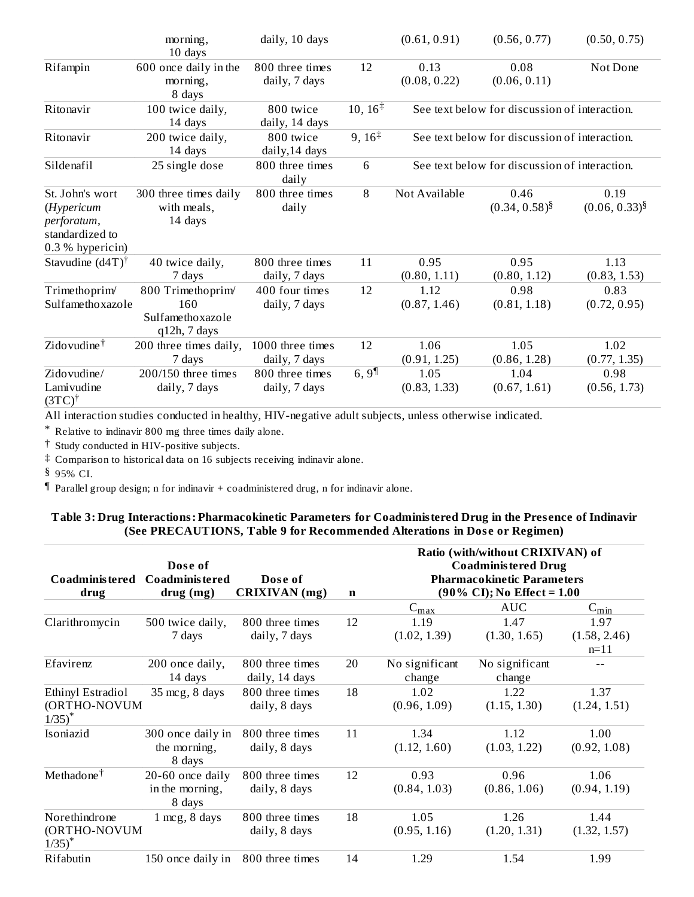|                             | morning,<br>10 days                 | daily, 10 days                   |                     | (0.61, 0.91)         | (0.56, 0.77)                                  | (0.50, 0.75)        |
|-----------------------------|-------------------------------------|----------------------------------|---------------------|----------------------|-----------------------------------------------|---------------------|
| Rifampin                    | 600 once daily in the<br>morning,   | 800 three times<br>daily, 7 days | 12                  | 0.13<br>(0.08, 0.22) | 0.08<br>(0.06, 0.11)                          | Not Done            |
|                             | 8 days                              |                                  |                     |                      |                                               |                     |
| Ritonavir                   | 100 twice daily,                    | 800 twice                        | $10, 16^{\ddagger}$ |                      | See text below for discussion of interaction. |                     |
|                             | 14 days                             | daily, 14 days                   |                     |                      |                                               |                     |
| Ritonavir                   | 200 twice daily,<br>14 days         | 800 twice<br>daily, 14 days      | $9, 16^{\ddagger}$  |                      | See text below for discussion of interaction. |                     |
| Sildenafil                  | 25 single dose                      | 800 three times<br>daily         | 6                   |                      | See text below for discussion of interaction. |                     |
| St. John's wort             | 300 three times daily               | 800 three times                  | 8                   | Not Available        | 0.46                                          | 0.19                |
| (Hypericum                  | with meals,                         | daily                            |                     |                      | $(0.34, 0.58)^{\S}$                           | $(0.06, 0.33)^{\S}$ |
| perforatum,                 | 14 days                             |                                  |                     |                      |                                               |                     |
| standardized to             |                                     |                                  |                     |                      |                                               |                     |
| 0.3 % hypericin)            |                                     |                                  |                     |                      |                                               |                     |
| Stavudine $(d4T)^{\dagger}$ | 40 twice daily,                     | 800 three times                  | 11                  | 0.95                 | 0.95                                          | 1.13                |
|                             | 7 days                              | daily, 7 days                    |                     | (0.80, 1.11)         | (0.80, 1.12)                                  | (0.83, 1.53)        |
| Trimethoprim/               | 800 Trimethoprim/                   | 400 four times                   | 12                  | 1.12                 | 0.98                                          | 0.83                |
| Sulfamethoxazole            | 160                                 | daily, 7 days                    |                     | (0.87, 1.46)         | (0.81, 1.18)                                  | (0.72, 0.95)        |
|                             | Sulfamethoxazole<br>$q12h$ , 7 days |                                  |                     |                      |                                               |                     |
| Zidovudine $†$              | 200 three times daily,              | 1000 three times                 | 12                  | 1.06                 | 1.05                                          | 1.02                |
|                             | 7 days                              | daily, 7 days                    |                     | (0.91, 1.25)         | (0.86, 1.28)                                  | (0.77, 1.35)        |
| Zidovudine/                 | $200/150$ three times               | 800 three times                  | 6, 9 <sup>1</sup>   | 1.05                 | 1.04                                          | 0.98                |
| Lamivudine                  | daily, 7 days                       | daily, 7 days                    |                     | (0.83, 1.33)         | (0.67, 1.61)                                  | (0.56, 1.73)        |
| $(3TC)^{\dagger}$           |                                     |                                  |                     |                      |                                               |                     |

All interaction studies conducted in healthy, HIV-negative adult subjects, unless otherwise indicated.

\* Relative to indinavir 800 mg three times daily alone.

† Study conducted in HIV-positive subjects.

‡ Comparison to historical data on 16 subjects receiving indinavir alone.

§ 95% CI.

¶ Parallel group design; n for indinavir + coadministered drug, n for indinavir alone.

## **Table 3: Drug Interactions: Pharmacokinetic Parameters for Coadministered Drug in the Pres ence of Indinavir (See PRECAUTIONS, Table 9 for Recommended Alterations in Dos e or Regimen)**

| Coadminis tered<br>drug                                  | Dose of<br>Coadministered<br>drug (mg)        | Dose of<br>CRIXIVAN (mg)          | $\mathbf n$ |                          | Ratio (with/without CRIXIVAN) of<br><b>Coadministered Drug</b><br><b>Pharmacokinetic Parameters</b><br>$(90\% \text{ CI})$ ; No Effect = 1.00 |                                  |
|----------------------------------------------------------|-----------------------------------------------|-----------------------------------|-------------|--------------------------|-----------------------------------------------------------------------------------------------------------------------------------------------|----------------------------------|
|                                                          |                                               |                                   |             | $C_{\underline{max}}$    | <b>AUC</b>                                                                                                                                    | $C_{\text{min}}$                 |
| Clarithromycin                                           | 500 twice daily,<br>7 days                    | 800 three times<br>daily, 7 days  | 12          | 1.19<br>(1.02, 1.39)     | 1.47<br>(1.30, 1.65)                                                                                                                          | 1.97<br>(1.58, 2.46)<br>$n = 11$ |
| Efavirenz                                                | 200 once daily,<br>14 days                    | 800 three times<br>daily, 14 days | 20          | No significant<br>change | No significant<br>change                                                                                                                      |                                  |
| Ethinyl Estradiol<br>(ORTHO-NOVUM<br>$1/35$ <sup>*</sup> | $35 \text{ mcg}$ , 8 days                     | 800 three times<br>daily, 8 days  | 18          | 1.02<br>(0.96, 1.09)     | 1.22<br>(1.15, 1.30)                                                                                                                          | 1.37<br>(1.24, 1.51)             |
| Isoniazid                                                | 300 once daily in<br>the morning,<br>8 days   | 800 three times<br>daily, 8 days  | 11          | 1.34<br>(1.12, 1.60)     | 1.12<br>(1.03, 1.22)                                                                                                                          | 1.00<br>(0.92, 1.08)             |
| Methadone $†$                                            | 20-60 once daily<br>in the morning,<br>8 days | 800 three times<br>daily, 8 days  | 12          | 0.93<br>(0.84, 1.03)     | 0.96<br>(0.86, 1.06)                                                                                                                          | 1.06<br>(0.94, 1.19)             |
| Norethindrone<br>(ORTHO-NOVUM<br>$1/35$ <sup>*</sup>     | $1 \text{ mcg}$ , $8 \text{ days}$            | 800 three times<br>daily, 8 days  | 18          | 1.05<br>(0.95, 1.16)     | 1.26<br>(1.20, 1.31)                                                                                                                          | 1.44<br>(1.32, 1.57)             |
| Rifabutin                                                | 150 once daily in                             | 800 three times                   | 14          | 1.29                     | 1.54                                                                                                                                          | 1.99                             |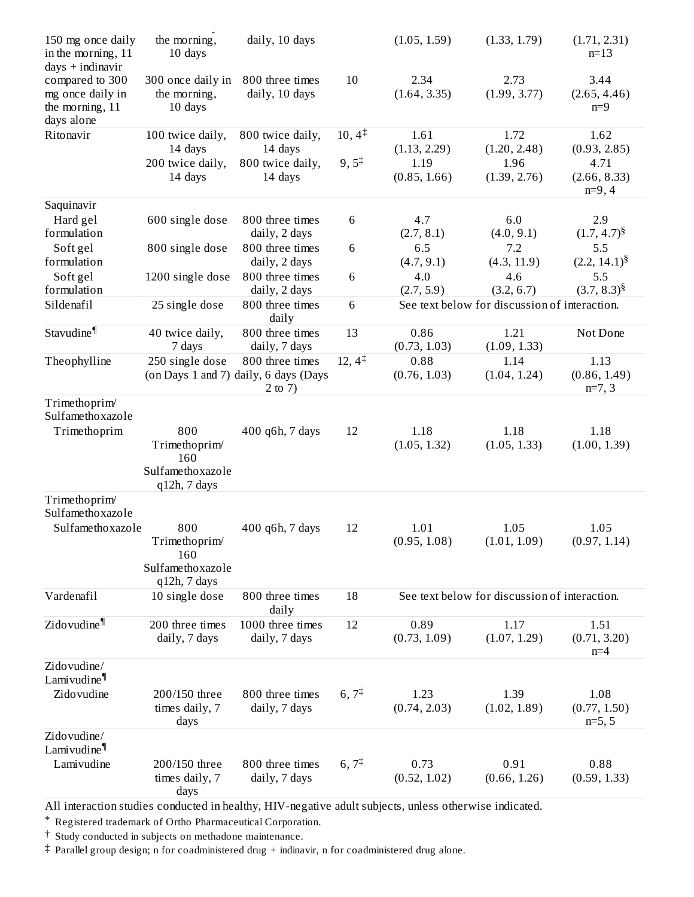| 150 mg once daily<br>in the morning, 11<br>$days + indinavir$        | the morning,<br>10 days                                            | daily, 10 days                                                        |                                       | (1.05, 1.59)                                 | (1.33, 1.79)                                                | (1.71, 2.31)<br>$n=13$                       |
|----------------------------------------------------------------------|--------------------------------------------------------------------|-----------------------------------------------------------------------|---------------------------------------|----------------------------------------------|-------------------------------------------------------------|----------------------------------------------|
| compared to 300<br>mg once daily in<br>the morning, 11<br>days alone | 300 once daily in<br>the morning,<br>10 days                       | 800 three times<br>daily, 10 days                                     | 10                                    | 2.34<br>(1.64, 3.35)                         | 2.73<br>(1.99, 3.77)                                        | 3.44<br>(2.65, 4.46)<br>$n=9$                |
| Ritonavir                                                            | 100 twice daily,<br>14 days<br>200 twice daily,<br>14 days         | 800 twice daily,<br>14 days<br>800 twice daily,<br>14 days            | $10,4^{\ddagger}$<br>$9,5^{\ddagger}$ | 1.61<br>(1.13, 2.29)<br>1.19<br>(0.85, 1.66) | 1.72<br>(1.20, 2.48)<br>1.96<br>(1.39, 2.76)                | 1.62<br>(0.93, 2.85)<br>4.71<br>(2.66, 8.33) |
|                                                                      |                                                                    |                                                                       |                                       |                                              |                                                             | $n=9, 4$                                     |
| Saquinavir<br>Hard gel<br>formulation                                | 600 single dose                                                    | 800 three times<br>daily, 2 days                                      | 6                                     | 4.7<br>(2.7, 8.1)                            | 6.0<br>(4.0, 9.1)                                           | 2.9<br>$(1.7, 4.7)^8$                        |
| Soft gel<br>formulation                                              | 800 single dose                                                    | 800 three times<br>daily, 2 days                                      | 6                                     | 6.5<br>(4.7, 9.1)                            | 7.2<br>(4.3, 11.9)                                          | 5.5<br>$(2.2, 14.1)$ <sup>§</sup>            |
| Soft gel                                                             | 1200 single dose                                                   | 800 three times                                                       | 6                                     | 4.0                                          | 4.6                                                         | 5.5                                          |
| formulation<br>Sildenafil                                            | 25 single dose                                                     | daily, 2 days<br>800 three times<br>daily                             | 6                                     | (2.7, 5.9)                                   | (3.2, 6.7)<br>See text below for discussion of interaction. | $(3.7, 8.3)^{§}$                             |
| Stavudine                                                            | 40 twice daily,<br>7 days                                          | 800 three times<br>daily, 7 days                                      | 13                                    | 0.86<br>(0.73, 1.03)                         | 1.21<br>(1.09, 1.33)                                        | Not Done                                     |
| Theophylline                                                         | 250 single dose                                                    | 800 three times<br>(on Days 1 and 7) daily, 6 days (Days<br>2 to $7)$ | $12,4^{\ddagger}$                     | 0.88<br>(0.76, 1.03)                         | 1.14<br>(1.04, 1.24)                                        | 1.13<br>(0.86, 1.49)<br>$n=7, 3$             |
| Trimethoprim/<br>Sulfamethoxazole<br>Trimethoprim                    | 800<br>Trimethoprim/<br>160<br>Sulfamethoxazole<br>$q12h$ , 7 days | 400 q6h, 7 days                                                       | 12                                    | 1.18<br>(1.05, 1.32)                         | 1.18<br>(1.05, 1.33)                                        | 1.18<br>(1.00, 1.39)                         |
| Trimethoprim/<br>Sulfamethoxazole<br>Sulfamethoxazole                | 800<br>Trimethoprim/<br>160<br>Sulfamethoxazole<br>$q12h$ , 7 days | 400 q6h, 7 days                                                       | 12                                    | 1.01<br>(0.95, 1.08)                         | 1.05<br>(1.01, 1.09)                                        | 1.05<br>(0.97, 1.14)                         |
| Vardenafil                                                           | 10 single dose                                                     | 800 three times<br>daily                                              | 18                                    |                                              | See text below for discussion of interaction.               |                                              |
| Zidovudine                                                           | 200 three times<br>daily, 7 days                                   | 1000 three times<br>daily, 7 days                                     | 12                                    | 0.89<br>(0.73, 1.09)                         | 1.17<br>(1.07, 1.29)                                        | 1.51<br>(0.71, 3.20)<br>$n=4$                |
| Zidovudine/<br>Lamivudine                                            |                                                                    |                                                                       |                                       |                                              |                                                             |                                              |
| Zidovudine                                                           | 200/150 three<br>times daily, 7<br>days                            | 800 three times<br>daily, 7 days                                      | $6, 7^{\ddagger}$                     | 1.23<br>(0.74, 2.03)                         | 1.39<br>(1.02, 1.89)                                        | 1.08<br>(0.77, 1.50)<br>$n=5, 5$             |
| Zidovudine/<br>Lamivudine                                            |                                                                    |                                                                       |                                       |                                              |                                                             |                                              |
| Lamivudine                                                           | 200/150 three<br>times daily, 7<br>days                            | 800 three times<br>daily, 7 days                                      | $6, 7^{\ddagger}$                     | 0.73<br>(0.52, 1.02)                         | 0.91<br>(0.66, 1.26)                                        | 0.88<br>(0.59, 1.33)                         |

All interaction studies conducted in healthy, HIV-negative adult subjects, unless otherwise indicated.

\* Registered trademark of Ortho Pharmaceutical Corporation.

† Study conducted in subjects on methadone maintenance.

 $^\ddag$  Parallel group design; n for coadministered drug + indinavir, n for coadministered drug alone.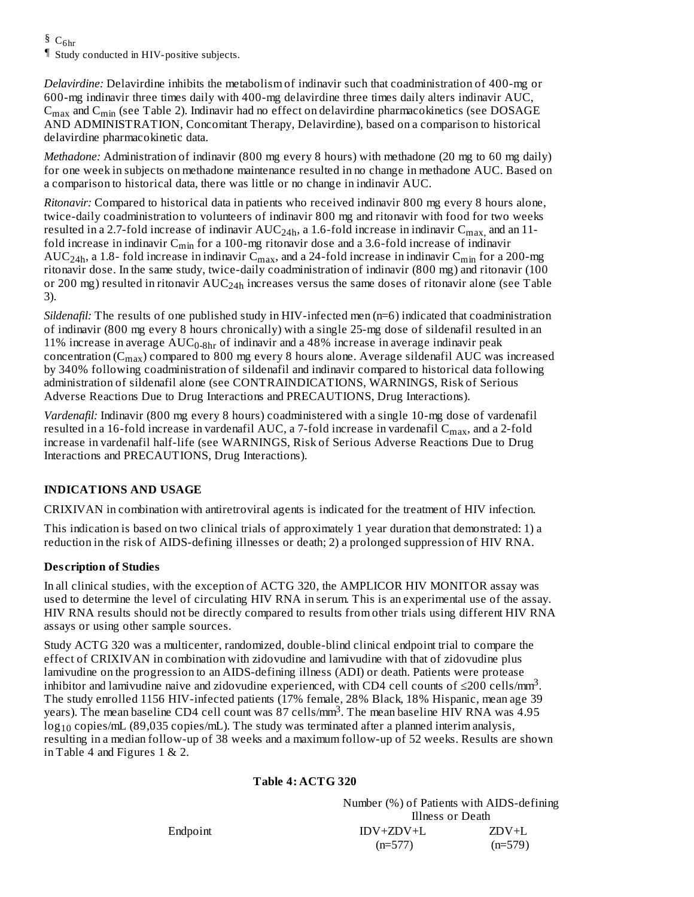$\S$  C<sub>6hr</sub>

¶ Study conducted in HIV-positive subjects.

*Delavirdine:* Delavirdine inhibits the metabolism of indinavir such that coadministration of 400-mg or 600-mg indinavir three times daily with 400-mg delavirdine three times daily alters indinavir AUC,  $\rm{C_{max}}$  and  $\rm{C_{min}}$  (see Table 2). Indinavir had no effect on delavirdine pharmacokinetics (see  $\rm{DOSAGE}$ AND ADMINISTRATION, Concomitant Therapy, Delavirdine), based on a comparison to historical delavirdine pharmacokinetic data.

*Methadone:* Administration of indinavir (800 mg every 8 hours) with methadone (20 mg to 60 mg daily) for one week in subjects on methadone maintenance resulted in no change in methadone AUC. Based on a comparison to historical data, there was little or no change in indinavir AUC.

*Ritonavir:* Compared to historical data in patients who received indinavir 800 mg every 8 hours alone, twice-daily coadministration to volunteers of indinavir 800 mg and ritonavir with food for two weeks resulted in a 2.7-fold increase of indinavir  $\mathrm{AUC_{24h}}$ , a 1.6-fold increase in indinavir  $\mathrm{C_{max,}}$  and an 11fold increase in indinavir  $\mathtt{C}_{\min}$  for a 100-mg ritonavir dose and a 3.6-fold increase of indinavir  $\rm AUC_{24h}$ , a 1.8- fold increase in indinavir  $\rm C_{max}$ , and a 24-fold increase in indinavir  $\rm C_{min}$  for a 200-mg ritonavir dose. In the same study, twice-daily coadministration of indinavir (800 mg) and ritonavir (100 or 200 mg) resulted in ritonavir  $\mathrm{AUC_{24h}}$  increases versus the same doses of ritonavir alone (see Table 3).

*Sildenafil:* The results of one published study in HIV-infected men (n=6) indicated that coadministration of indinavir (800 mg every 8 hours chronically) with a single 25-mg dose of sildenafil resulted in an 11% increase in average  $\mathrm{AUC_{0-8hr}}$  of indinavir and a 48% increase in average indinavir peak concentration (C $_{\rm max}$ ) compared to 800 mg every 8 hours alone. Average sildenafil AUC was increased by 340% following coadministration of sildenafil and indinavir compared to historical data following administration of sildenafil alone (see CONTRAINDICATIONS, WARNINGS, Risk of Serious Adverse Reactions Due to Drug Interactions and PRECAUTIONS, Drug Interactions).

*Vardenafil:* Indinavir (800 mg every 8 hours) coadministered with a single 10-mg dose of vardenafil resulted in a 16-fold increase in vardenafil AUC, a 7-fold increase in vardenafil  $\mathsf{C}_{\max}$ , and a 2-fold increase in vardenafil half-life (see WARNINGS, Risk of Serious Adverse Reactions Due to Drug Interactions and PRECAUTIONS, Drug Interactions).

# **INDICATIONS AND USAGE**

CRIXIVAN in combination with antiretroviral agents is indicated for the treatment of HIV infection.

This indication is based on two clinical trials of approximately 1 year duration that demonstrated: 1) a reduction in the risk of AIDS-defining illnesses or death; 2) a prolonged suppression of HIV RNA.

### **Des cription of Studies**

In all clinical studies, with the exception of ACTG 320, the AMPLICOR HIV MONITOR assay was used to determine the level of circulating HIV RNA in serum. This is an experimental use of the assay. HIV RNA results should not be directly compared to results from other trials using different HIV RNA assays or using other sample sources.

Study ACTG 320 was a multicenter, randomized, double-blind clinical endpoint trial to compare the effect of CRIXIVAN in combination with zidovudine and lamivudine with that of zidovudine plus lamivudine on the progression to an AIDS-defining illness (ADI) or death. Patients were protease inhibitor and lamivudine naive and zidovudine experienced, with CD4 cell counts of  $\leq$ 200 cells/mm<sup>3</sup>. The study enrolled 1156 HIV-infected patients (17% female, 28% Black, 18% Hispanic, mean age 39 years). The mean baseline CD4 cell count was  $\frac{87}{2}$  cells/mm<sup>3</sup>. The mean baseline HIV RNA was 4.95  $\log_{10}$  copies/mL (89,035 copies/mL). The study was terminated after a planned interim analysis, resulting in a median follow-up of 38 weeks and a maximum follow-up of 52 weeks. Results are shown in Table 4 and Figures 1 & 2.

### **Table 4: ACTG 320**

|             | Number (%) of Patients with AIDS-defining |           |  |
|-------------|-------------------------------------------|-----------|--|
|             | Illness or Death                          |           |  |
| $IDV+ZDV+L$ |                                           | ZDV+L     |  |
| $(n=577)$   |                                           | $(n=579)$ |  |

Endpoint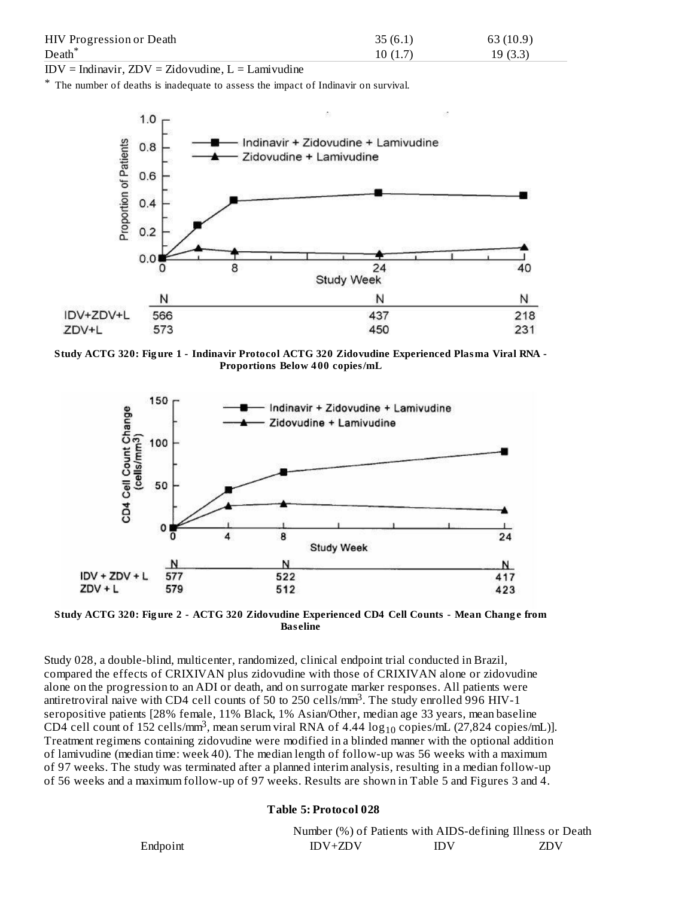| <b>HIV Progression or Death</b> | 35(6.1) | 63 (10.9) |
|---------------------------------|---------|-----------|
| Death <sup>*</sup>              | 10(1.7) | 19(3.3)   |

IDV = Indinavir, ZDV = Zidovudine, L = Lamivudine

\* The number of deaths is inadequate to assess the impact of Indinavir on survival.



**Study ACTG 320: Fig ure 1 - Indinavir Protocol ACTG 320 Zidovudine Experienced Plasma Viral RNA - Proportions Below 4 00 copies/mL**



Study ACTG 320: Figure 2 - ACTG 320 Zidovudine Experienced CD4 Cell Counts - Mean Change from **Bas eline**

Study 028, a double-blind, multicenter, randomized, clinical endpoint trial conducted in Brazil, compared the effects of CRIXIVAN plus zidovudine with those of CRIXIVAN alone or zidovudine alone on the progression to an ADI or death, and on surrogate marker responses. All patients were antiretroviral naive with CD4 cell counts of 50 to 250 cells/mm<sup>3</sup>. The study enrolled 996 HIV-1 seropositive patients [28% female, 11% Black, 1% Asian/Other, median age 33 years, mean baseline CD4 cell count of 152 cells/mm<sup>3</sup>, mean serum viral RNA of 4.44  $\log_{10}$  copies/mL (27,824 copies/mL)]. Treatment regimens containing zidovudine were modified in a blinded manner with the optional addition of lamivudine (median time: week 40). The median length of follow-up was 56 weeks with a maximum of 97 weeks. The study was terminated after a planned interim analysis, resulting in a median follow-up of 56 weeks and a maximum follow-up of 97 weeks. Results are shown in Table 5 and Figures 3 and 4.

#### **Table 5: Protocol 028**

|          |           |     | Number (%) of Patients with AIDS-defining Illness or Death |
|----------|-----------|-----|------------------------------------------------------------|
| Endpoint | $IDV+ZDV$ | IDV | ZDV                                                        |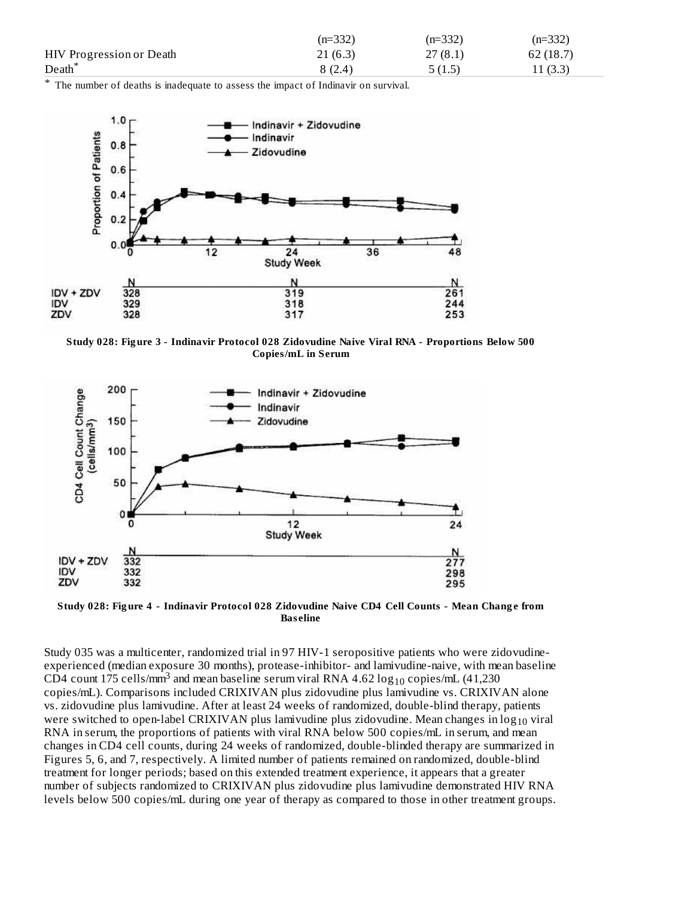| Death <sup>*</sup>              | 8 (2.4)   | 5(1.5)    | 11(3.3)   |
|---------------------------------|-----------|-----------|-----------|
| <b>HIV Progression or Death</b> | 21(6.3)   | 27(8.1)   | 62(18.7)  |
|                                 | $(n=332)$ | $(n=332)$ | $(n=332)$ |

\* The number of deaths is inadequate to assess the impact of Indinavir on survival.



**Study 028: Fig ure 3 - Indinavir Protocol 028 Zidovudine Naive Viral RNA - Proportions Below 500 Copies/mL in Serum**



Study 028: Figure 4 - Indinavir Protocol 028 Zidovudine Naive CD4 Cell Counts - Mean Change from **Bas eline**

Study 035 was a multicenter, randomized trial in 97 HIV-1 seropositive patients who were zidovudineexperienced (median exposure 30 months), protease-inhibitor- and lamivudine-naive, with mean baseline CD4 count 175 cells/mm<sup>3</sup> and mean baseline serum viral RNA 4.62  $\log_{10}$  copies/mL (41,230 copies/mL). Comparisons included CRIXIVAN plus zidovudine plus lamivudine vs. CRIXIVAN alone vs. zidovudine plus lamivudine. After at least 24 weeks of randomized, double-blind therapy, patients were switched to open-label CRIXIVAN plus lamivudine plus zidovudine. Mean changes in  $\log_{10}$  viral RNA in serum, the proportions of patients with viral RNA below 500 copies/mL in serum, and mean changes in CD4 cell counts, during 24 weeks of randomized, double-blinded therapy are summarized in Figures 5, 6, and 7, respectively. A limited number of patients remained on randomized, double-blind treatment for longer periods; based on this extended treatment experience, it appears that a greater number of subjects randomized to CRIXIVAN plus zidovudine plus lamivudine demonstrated HIV RNA levels below 500 copies/mL during one year of therapy as compared to those in other treatment groups.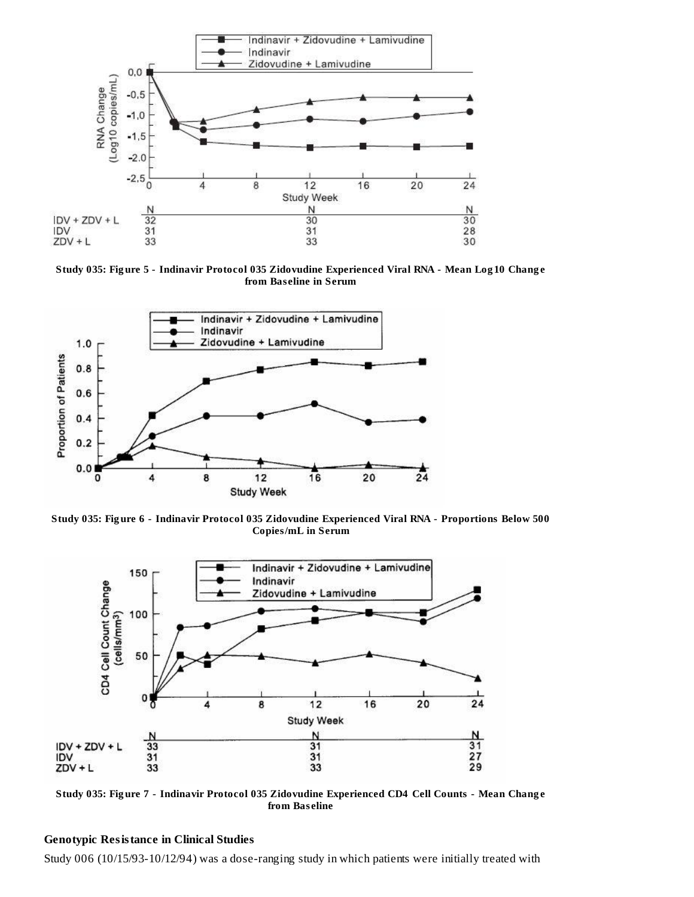

Study 035: Figure 5 - Indinavir Protocol 035 Zidovudine Experienced Viral RNA - Mean Log 10 Change **from Bas eline in Serum**



**Study 035: Fig ure 6 - Indinavir Protocol 035 Zidovudine Experienced Viral RNA - Proportions Below 500 Copies/mL in Serum**



Study 035: Figure 7 - Indinavir Protocol 035 Zidovudine Experienced CD4 Cell Counts - Mean Change **from Bas eline**

#### **Genotypic Resistance in Clinical Studies**

Study 006 (10/15/93-10/12/94) was a dose-ranging study in which patients were initially treated with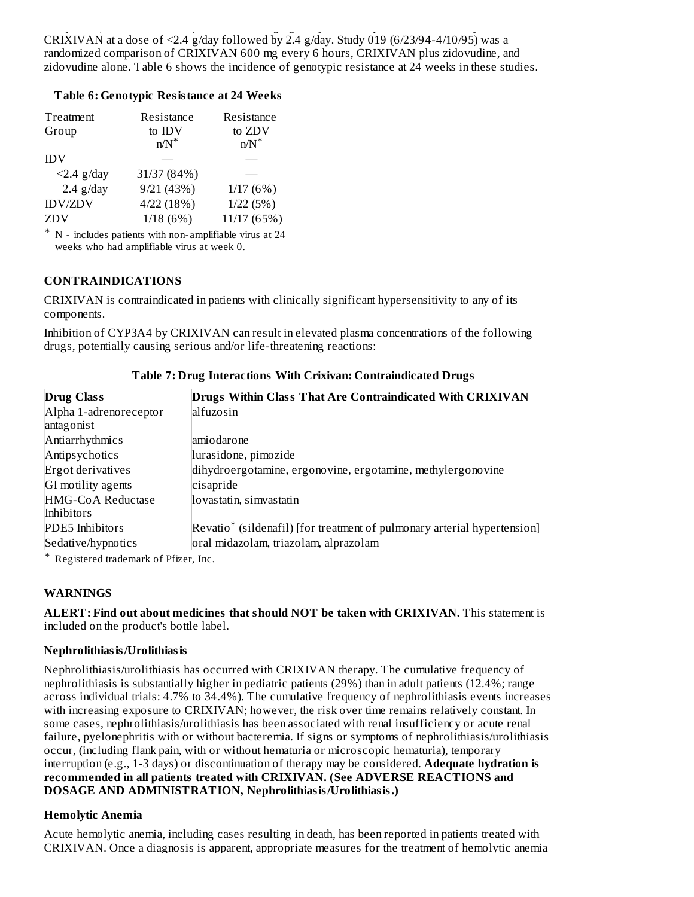$S_{\rm eff}$  (10/15/93-10/15/93-10/12/93-10/12/93-10/12/93-10/15/93-10/15/93-10/12/93-10/12/94) was a dose-ranging study initial patients with patients with  $\sim$ CRIXIVAN at a dose of <2.4 g/day followed by 2.4 g/day. Study 019 (6/23/94-4/10/95) was a randomized comparison of CRIXIVAN 600 mg every 6 hours, CRIXIVAN plus zidovudine, and zidovudine alone. Table 6 shows the incidence of genotypic resistance at 24 weeks in these studies.

#### **Table 6: Genotypic Resistance at 24 Weeks**

| Treatment<br>Group | Resistance<br>to IDV<br>$n/N^*$ | Resistance<br>to ZDV<br>$n/N^*$ |
|--------------------|---------------------------------|---------------------------------|
| <b>IDV</b>         |                                 |                                 |
| $<$ 2.4 g/day      | 31/37 (84%)                     |                                 |
| $2.4$ g/day        | 9/21(43%)                       | 1/17(6%)                        |
| <b>IDV/ZDV</b>     | 4/22 (18%)                      | 1/22(5%)                        |
| <b>ZDV</b>         | 1/18(6%)                        | 11/17 (65%)                     |

\* N - includes patients with non-amplifiable virus at 24 weeks who had amplifiable virus at week 0.

## **CONTRAINDICATIONS**

CRIXIVAN is contraindicated in patients with clinically significant hypersensitivity to any of its components.

Inhibition of CYP3A4 by CRIXIVAN can result in elevated plasma concentrations of the following drugs, potentially causing serious and/or life-threatening reactions:

| <b>Drug Class</b>      | Drugs Within Class That Are Contraindicated With CRIXIVAN                            |
|------------------------|--------------------------------------------------------------------------------------|
| Alpha 1-adrenoreceptor | alfuzosin                                                                            |
| antagonist             |                                                                                      |
| Antiarrhythmics        | amiodarone                                                                           |
| Antipsychotics         | lurasidone, pimozide                                                                 |
| Ergot derivatives      | dihydroergotamine, ergonovine, ergotamine, methylergonovine                          |
| GI motility agents     | cisapride                                                                            |
| HMG-CoA Reductase      | lovastatin, simvastatin                                                              |
| Inhibitors             |                                                                                      |
| PDE5 Inhibitors        | Revatio <sup>*</sup> (sildenafil) [for treatment of pulmonary arterial hypertension] |
| Sedative/hypnotics     | oral midazolam, triazolam, alprazolam                                                |

**Table 7: Drug Interactions With Crixivan: Contraindicated Drugs**

\* Registered trademark of Pfizer, Inc.

# **WARNINGS**

**ALERT: Find out about medicines that should NOT be taken with CRIXIVAN.** This statement is included on the product's bottle label.

### **Nephrolithiasis/Urolithiasis**

Nephrolithiasis/urolithiasis has occurred with CRIXIVAN therapy. The cumulative frequency of nephrolithiasis is substantially higher in pediatric patients (29%) than in adult patients (12.4%; range across individual trials: 4.7% to 34.4%). The cumulative frequency of nephrolithiasis events increases with increasing exposure to CRIXIVAN; however, the risk over time remains relatively constant. In some cases, nephrolithiasis/urolithiasis has been associated with renal insufficiency or acute renal failure, pyelonephritis with or without bacteremia. If signs or symptoms of nephrolithiasis/urolithiasis occur, (including flank pain, with or without hematuria or microscopic hematuria), temporary interruption (e.g., 1-3 days) or discontinuation of therapy may be considered. **Adequate hydration is recommended in all patients treated with CRIXIVAN. (See ADVERSE REACTIONS and DOSAGE AND ADMINISTRATION, Nephrolithiasis/Urolithiasis.)**

### **Hemolytic Anemia**

Acute hemolytic anemia, including cases resulting in death, has been reported in patients treated with CRIXIVAN. Once a diagnosis is apparent, appropriate measures for the treatment of hemolytic anemia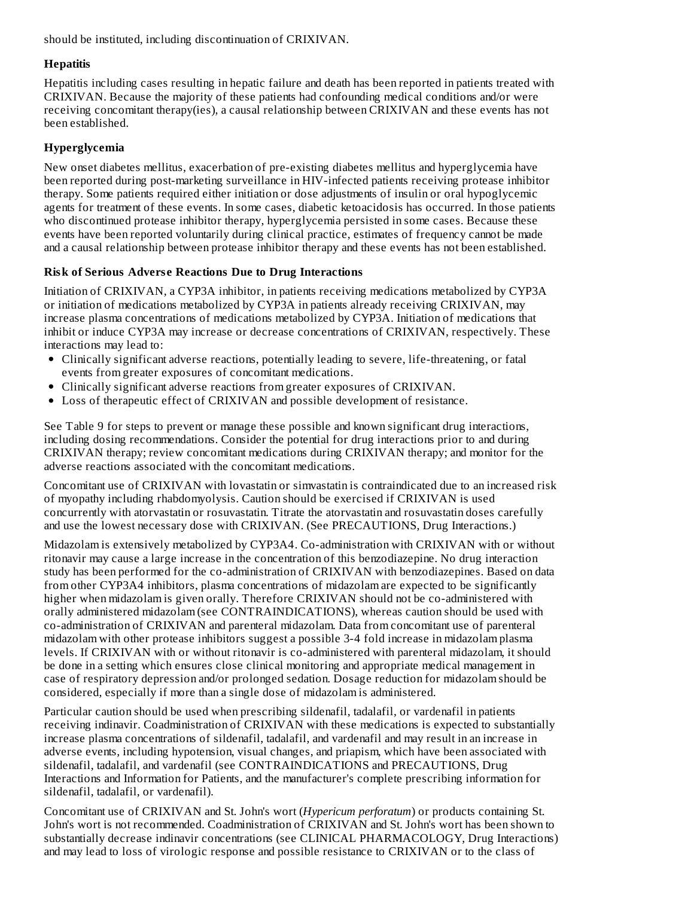should be instituted, including discontinuation of CRIXIVAN.

### **Hepatitis**

Hepatitis including cases resulting in hepatic failure and death has been reported in patients treated with CRIXIVAN. Because the majority of these patients had confounding medical conditions and/or were receiving concomitant therapy(ies), a causal relationship between CRIXIVAN and these events has not been established.

## **Hyperglycemia**

New onset diabetes mellitus, exacerbation of pre-existing diabetes mellitus and hyperglycemia have been reported during post-marketing surveillance in HIV-infected patients receiving protease inhibitor therapy. Some patients required either initiation or dose adjustments of insulin or oral hypoglycemic agents for treatment of these events. In some cases, diabetic ketoacidosis has occurred. In those patients who discontinued protease inhibitor therapy, hyperglycemia persisted in some cases. Because these events have been reported voluntarily during clinical practice, estimates of frequency cannot be made and a causal relationship between protease inhibitor therapy and these events has not been established.

## **Risk of Serious Advers e Reactions Due to Drug Interactions**

Initiation of CRIXIVAN, a CYP3A inhibitor, in patients receiving medications metabolized by CYP3A or initiation of medications metabolized by CYP3A in patients already receiving CRIXIVAN, may increase plasma concentrations of medications metabolized by CYP3A. Initiation of medications that inhibit or induce CYP3A may increase or decrease concentrations of CRIXIVAN, respectively. These interactions may lead to:

- Clinically significant adverse reactions, potentially leading to severe, life-threatening, or fatal events from greater exposures of concomitant medications.
- Clinically significant adverse reactions from greater exposures of CRIXIVAN.
- Loss of therapeutic effect of CRIXIVAN and possible development of resistance.

See Table 9 for steps to prevent or manage these possible and known significant drug interactions, including dosing recommendations. Consider the potential for drug interactions prior to and during CRIXIVAN therapy; review concomitant medications during CRIXIVAN therapy; and monitor for the adverse reactions associated with the concomitant medications.

Concomitant use of CRIXIVAN with lovastatin or simvastatin is contraindicated due to an increased risk of myopathy including rhabdomyolysis. Caution should be exercised if CRIXIVAN is used concurrently with atorvastatin or rosuvastatin. Titrate the atorvastatin and rosuvastatin doses carefully and use the lowest necessary dose with CRIXIVAN. (See PRECAUTIONS, Drug Interactions.)

Midazolam is extensively metabolized by CYP3A4. Co-administration with CRIXIVAN with or without ritonavir may cause a large increase in the concentration of this benzodiazepine. No drug interaction study has been performed for the co-administration of CRIXIVAN with benzodiazepines. Based on data from other CYP3A4 inhibitors, plasma concentrations of midazolam are expected to be significantly higher when midazolam is given orally. Therefore CRIXIVAN should not be co-administered with orally administered midazolam (see CONTRAINDICATIONS), whereas caution should be used with co-administration of CRIXIVAN and parenteral midazolam. Data from concomitant use of parenteral midazolam with other protease inhibitors suggest a possible 3-4 fold increase in midazolam plasma levels. If CRIXIVAN with or without ritonavir is co-administered with parenteral midazolam, it should be done in a setting which ensures close clinical monitoring and appropriate medical management in case of respiratory depression and/or prolonged sedation. Dosage reduction for midazolam should be considered, especially if more than a single dose of midazolam is administered.

Particular caution should be used when prescribing sildenafil, tadalafil, or vardenafil in patients receiving indinavir. Coadministration of CRIXIVAN with these medications is expected to substantially increase plasma concentrations of sildenafil, tadalafil, and vardenafil and may result in an increase in adverse events, including hypotension, visual changes, and priapism, which have been associated with sildenafil, tadalafil, and vardenafil (see CONTRAINDICATIONS and PRECAUTIONS, Drug Interactions and Information for Patients, and the manufacturer's complete prescribing information for sildenafil, tadalafil, or vardenafil).

Concomitant use of CRIXIVAN and St. John's wort (*Hypericum perforatum*) or products containing St. John's wort is not recommended. Coadministration of CRIXIVAN and St. John's wort has been shown to substantially decrease indinavir concentrations (see CLINICAL PHARMACOLOGY, Drug Interactions) and may lead to loss of virologic response and possible resistance to CRIXIVAN or to the class of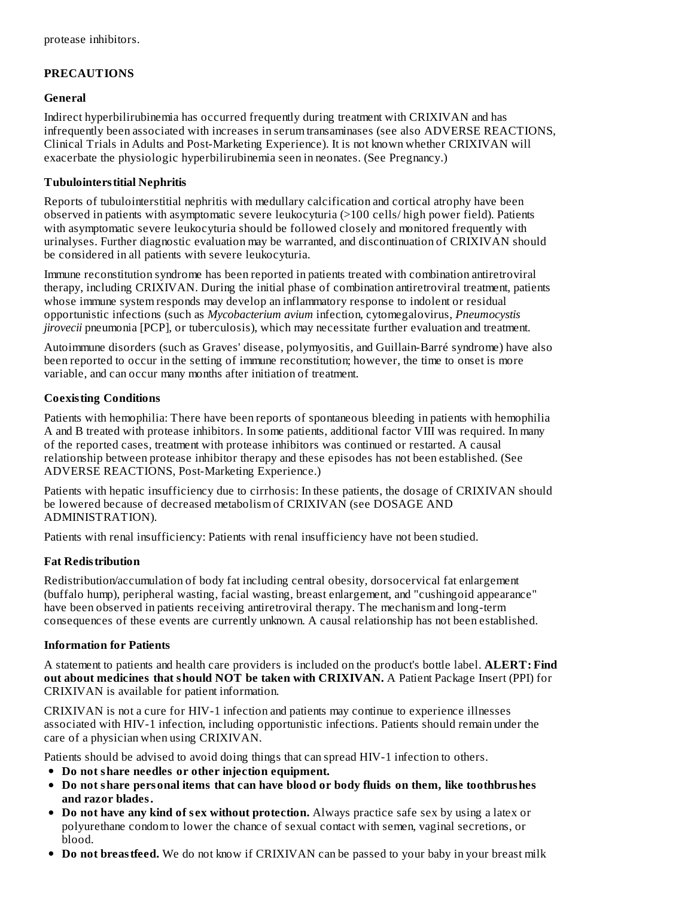### **PRECAUTIONS**

#### **General**

Indirect hyperbilirubinemia has occurred frequently during treatment with CRIXIVAN and has infrequently been associated with increases in serum transaminases (see also ADVERSE REACTIONS, Clinical Trials in Adults and Post-Marketing Experience). It is not known whether CRIXIVAN will exacerbate the physiologic hyperbilirubinemia seen in neonates. (See Pregnancy.)

#### **Tubulointerstitial Nephritis**

Reports of tubulointerstitial nephritis with medullary calcification and cortical atrophy have been observed in patients with asymptomatic severe leukocyturia (>100 cells/ high power field). Patients with asymptomatic severe leukocyturia should be followed closely and monitored frequently with urinalyses. Further diagnostic evaluation may be warranted, and discontinuation of CRIXIVAN should be considered in all patients with severe leukocyturia.

Immune reconstitution syndrome has been reported in patients treated with combination antiretroviral therapy, including CRIXIVAN. During the initial phase of combination antiretroviral treatment, patients whose immune system responds may develop an inflammatory response to indolent or residual opportunistic infections (such as *Mycobacterium avium* infection, cytomegalovirus, *Pneumocystis jirovecii* pneumonia [PCP], or tuberculosis), which may necessitate further evaluation and treatment.

Autoimmune disorders (such as Graves' disease, polymyositis, and Guillain-Barré syndrome) have also been reported to occur in the setting of immune reconstitution; however, the time to onset is more variable, and can occur many months after initiation of treatment.

### **Coexisting Conditions**

Patients with hemophilia: There have been reports of spontaneous bleeding in patients with hemophilia A and B treated with protease inhibitors. In some patients, additional factor VIII was required. In many of the reported cases, treatment with protease inhibitors was continued or restarted. A causal relationship between protease inhibitor therapy and these episodes has not been established. (See ADVERSE REACTIONS, Post-Marketing Experience.)

Patients with hepatic insufficiency due to cirrhosis: In these patients, the dosage of CRIXIVAN should be lowered because of decreased metabolism of CRIXIVAN (see DOSAGE AND ADMINISTRATION).

Patients with renal insufficiency: Patients with renal insufficiency have not been studied.

### **Fat Redistribution**

Redistribution/accumulation of body fat including central obesity, dorsocervical fat enlargement (buffalo hump), peripheral wasting, facial wasting, breast enlargement, and "cushingoid appearance" have been observed in patients receiving antiretroviral therapy. The mechanism and long-term consequences of these events are currently unknown. A causal relationship has not been established.

### **Information for Patients**

A statement to patients and health care providers is included on the product's bottle label. **ALERT: Find out about medicines that should NOT be taken with CRIXIVAN.** A Patient Package Insert (PPI) for CRIXIVAN is available for patient information.

CRIXIVAN is not a cure for HIV-1 infection and patients may continue to experience illnesses associated with HIV-1 infection, including opportunistic infections. Patients should remain under the care of a physician when using CRIXIVAN.

Patients should be advised to avoid doing things that can spread HIV-1 infection to others.

- **Do not share needles or other injection equipment.**
- **Do not share personal items that can have blood or body fluids on them, like toothbrushes and razor blades.**
- **Do not have any kind of s ex without protection.** Always practice safe sex by using a latex or polyurethane condom to lower the chance of sexual contact with semen, vaginal secretions, or blood.
- **Do not breastfeed.** We do not know if CRIXIVAN can be passed to your baby in your breast milk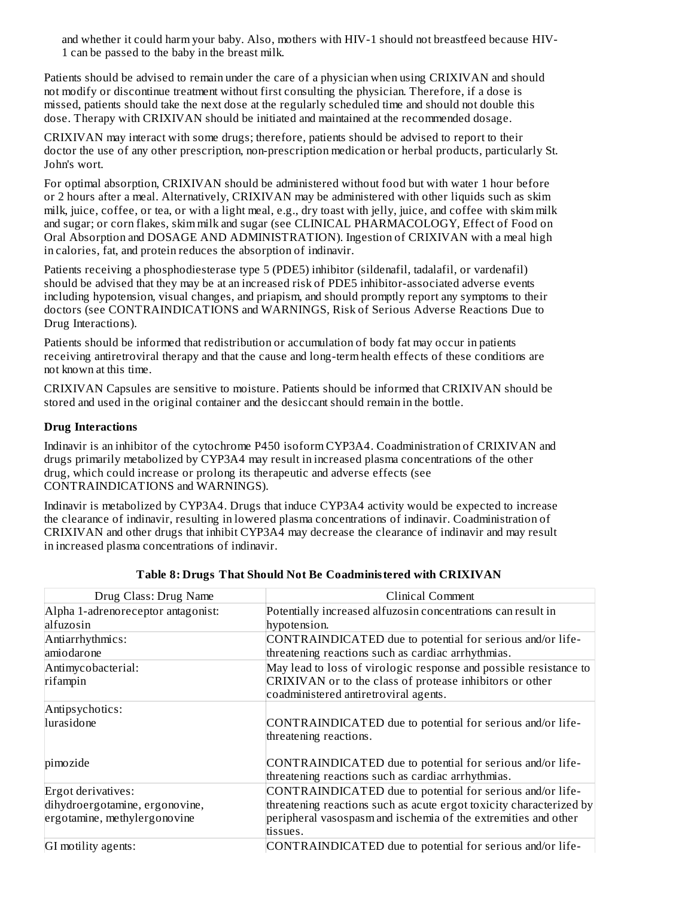and whether it could harm your baby. Also, mothers with HIV-1 should not breastfeed because HIV-1 can be passed to the baby in the breast milk.

Patients should be advised to remain under the care of a physician when using CRIXIVAN and should not modify or discontinue treatment without first consulting the physician. Therefore, if a dose is missed, patients should take the next dose at the regularly scheduled time and should not double this dose. Therapy with CRIXIVAN should be initiated and maintained at the recommended dosage.

CRIXIVAN may interact with some drugs; therefore, patients should be advised to report to their doctor the use of any other prescription, non-prescription medication or herbal products, particularly St. John's wort.

For optimal absorption, CRIXIVAN should be administered without food but with water 1 hour before or 2 hours after a meal. Alternatively, CRIXIVAN may be administered with other liquids such as skim milk, juice, coffee, or tea, or with a light meal, e.g., dry toast with jelly, juice, and coffee with skim milk and sugar; or corn flakes, skim milk and sugar (see CLINICAL PHARMACOLOGY, Effect of Food on Oral Absorption and DOSAGE AND ADMINISTRATION). Ingestion of CRIXIVAN with a meal high in calories, fat, and protein reduces the absorption of indinavir.

Patients receiving a phosphodiesterase type 5 (PDE5) inhibitor (sildenafil, tadalafil, or vardenafil) should be advised that they may be at an increased risk of PDE5 inhibitor-associated adverse events including hypotension, visual changes, and priapism, and should promptly report any symptoms to their doctors (see CONTRAINDICATIONS and WARNINGS, Risk of Serious Adverse Reactions Due to Drug Interactions).

Patients should be informed that redistribution or accumulation of body fat may occur in patients receiving antiretroviral therapy and that the cause and long-term health effects of these conditions are not known at this time.

CRIXIVAN Capsules are sensitive to moisture. Patients should be informed that CRIXIVAN should be stored and used in the original container and the desiccant should remain in the bottle.

#### **Drug Interactions**

Indinavir is an inhibitor of the cytochrome P450 isoform CYP3A4. Coadministration of CRIXIVAN and drugs primarily metabolized by CYP3A4 may result in increased plasma concentrations of the other drug, which could increase or prolong its therapeutic and adverse effects (see CONTRAINDICATIONS and WARNINGS).

Indinavir is metabolized by CYP3A4. Drugs that induce CYP3A4 activity would be expected to increase the clearance of indinavir, resulting in lowered plasma concentrations of indinavir. Coadministration of CRIXIVAN and other drugs that inhibit CYP3A4 may decrease the clearance of indinavir and may result in increased plasma concentrations of indinavir.

| Drug Class: Drug Name              | Clinical Comment                                                    |
|------------------------------------|---------------------------------------------------------------------|
| Alpha 1-adrenoreceptor antagonist: | Potentially increased alfuzosin concentrations can result in        |
| alfuzosin                          | hypotension.                                                        |
| Antiarrhythmics:                   | CONTRAINDICATED due to potential for serious and/or life-           |
| amiodarone                         | threatening reactions such as cardiac arrhythmias.                  |
| Antimycobacterial:                 | May lead to loss of virologic response and possible resistance to   |
| rifampin                           | CRIXIVAN or to the class of protease inhibitors or other            |
|                                    | coadministered antiretroviral agents.                               |
| Antipsychotics:                    |                                                                     |
| lurasidone                         | CONTRAINDICATED due to potential for serious and/or life-           |
|                                    | threatening reactions.                                              |
| pimozide                           | CONTRAINDICATED due to potential for serious and/or life-           |
|                                    | threatening reactions such as cardiac arrhythmias.                  |
| Ergot derivatives:                 | CONTRAINDICATED due to potential for serious and/or life-           |
| dihydroergotamine, ergonovine,     | threatening reactions such as acute ergot toxicity characterized by |
| ergotamine, methylergonovine       | peripheral vasospasm and ischemia of the extremities and other      |
|                                    | tissues.                                                            |
| GI motility agents:                | CONTRAINDICATED due to potential for serious and/or life-           |

#### **Table 8: Drugs That Should Not Be Coadministered with CRIXIVAN**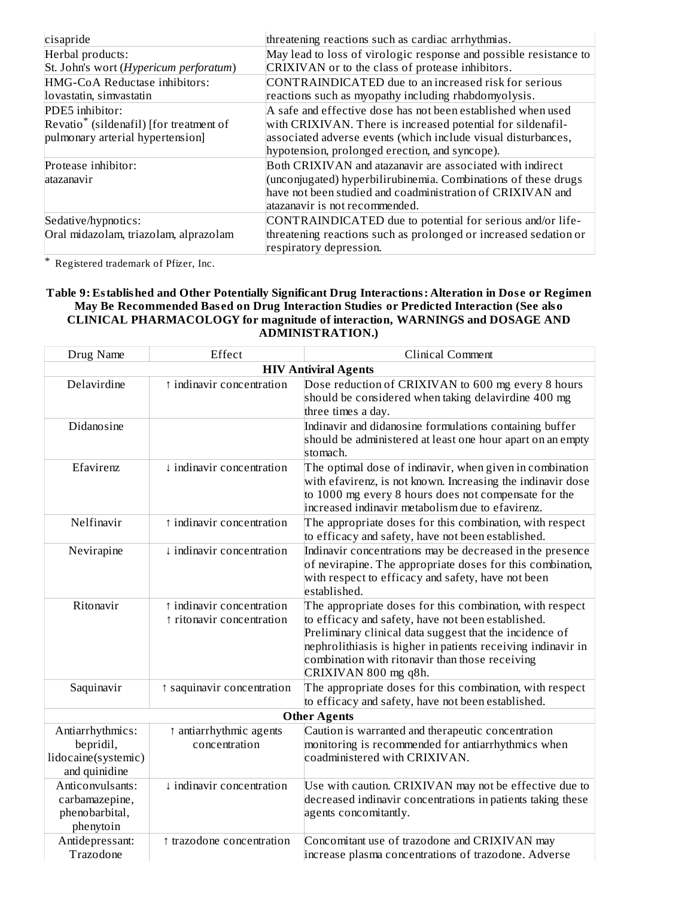| cisapride                                           | threatening reactions such as cardiac arrhythmias.                |
|-----------------------------------------------------|-------------------------------------------------------------------|
| Herbal products:                                    | May lead to loss of virologic response and possible resistance to |
| St. John's wort (Hypericum perforatum)              | CRIXIVAN or to the class of protease inhibitors.                  |
| HMG-CoA Reductase inhibitors:                       | CONTRAINDICATED due to an increased risk for serious              |
| lovastatin, simvastatin                             | reactions such as myopathy including rhabdomyolysis.              |
| PDE5 inhibitor:                                     | A safe and effective dose has not been established when used      |
| Revatio <sup>*</sup> (sildenafil) [for treatment of | with CRIXIVAN. There is increased potential for sildenafil-       |
| pulmonary arterial hypertension]                    | associated adverse events (which include visual disturbances,     |
|                                                     | hypotension, prolonged erection, and syncope).                    |
| Protease inhibitor:                                 | Both CRIXIVAN and atazanavir are associated with indirect         |
| latazanavir                                         | (unconjugated) hyperbilirubinemia. Combinations of these drugs    |
|                                                     | have not been studied and coadministration of CRIXIVAN and        |
|                                                     | atazanavir is not recommended.                                    |
| Sedative/hypnotics:                                 | CONTRAINDICATED due to potential for serious and/or life-         |
| Oral midazolam, triazolam, alprazolam               | threatening reactions such as prolonged or increased sedation or  |
|                                                     | respiratory depression.                                           |

\* Registered trademark of Pfizer, Inc.

#### **Table 9: Established and Other Potentially Significant Drug Interactions: Alteration in Dos e or Regimen May Be Recommended Bas ed on Drug Interaction Studies or Predicted Interaction (See also CLINICAL PHARMACOLOGY for magnitude of interaction, WARNINGS and DOSAGE AND ADMINISTRATION.)**

| Drug Name                                                             | Effect                                                 | Clinical Comment                                                                                                                                                                                                                                                                                                     |  |  |  |  |  |
|-----------------------------------------------------------------------|--------------------------------------------------------|----------------------------------------------------------------------------------------------------------------------------------------------------------------------------------------------------------------------------------------------------------------------------------------------------------------------|--|--|--|--|--|
|                                                                       | <b>HIV Antiviral Agents</b>                            |                                                                                                                                                                                                                                                                                                                      |  |  |  |  |  |
| Delavirdine                                                           | <i>t</i> indinavir concentration                       | Dose reduction of CRIXIVAN to 600 mg every 8 hours<br>should be considered when taking delavirdine 400 mg<br>three times a day.                                                                                                                                                                                      |  |  |  |  |  |
| Didanosine                                                            |                                                        | Indinavir and didanosine formulations containing buffer<br>should be administered at least one hour apart on an empty<br>stomach.                                                                                                                                                                                    |  |  |  |  |  |
| Efavirenz                                                             | ↓ indinavir concentration                              | The optimal dose of indinavir, when given in combination<br>with efavirenz, is not known. Increasing the indinavir dose<br>to 1000 mg every 8 hours does not compensate for the<br>increased indinavir metabolism due to efavirenz.                                                                                  |  |  |  |  |  |
| Nelfinavir                                                            | <i>t</i> indinavir concentration                       | The appropriate doses for this combination, with respect<br>to efficacy and safety, have not been established.                                                                                                                                                                                                       |  |  |  |  |  |
| Nevirapine                                                            | ↓ indinavir concentration                              | Indinavir concentrations may be decreased in the presence<br>of nevirapine. The appropriate doses for this combination,<br>with respect to efficacy and safety, have not been<br>established.                                                                                                                        |  |  |  |  |  |
| Ritonavir                                                             | ↑ indinavir concentration<br>↑ ritonavir concentration | The appropriate doses for this combination, with respect<br>to efficacy and safety, have not been established.<br>Preliminary clinical data suggest that the incidence of<br>nephrolithiasis is higher in patients receiving indinavir in<br>combination with ritonavir than those receiving<br>CRIXIVAN 800 mg q8h. |  |  |  |  |  |
| Saquinavir                                                            | ↑ saquinavir concentration                             | The appropriate doses for this combination, with respect<br>to efficacy and safety, have not been established.                                                                                                                                                                                                       |  |  |  |  |  |
|                                                                       |                                                        | <b>Other Agents</b>                                                                                                                                                                                                                                                                                                  |  |  |  |  |  |
| Antiarrhythmics:<br>bepridil,<br>lidocaine(systemic)<br>and quinidine | ↑ antiarrhythmic agents<br>concentration               | Caution is warranted and therapeutic concentration<br>monitoring is recommended for antiarrhythmics when<br>coadministered with CRIXIVAN.                                                                                                                                                                            |  |  |  |  |  |
| Anticonvulsants:<br>carbamazepine,<br>phenobarbital,<br>phenytoin     | ↓ indinavir concentration                              | Use with caution. CRIXIVAN may not be effective due to<br>decreased indinavir concentrations in patients taking these<br>agents concomitantly.                                                                                                                                                                       |  |  |  |  |  |
| Antidepressant:<br>Trazodone                                          | ↑ trazodone concentration                              | Concomitant use of trazodone and CRIXIVAN may<br>increase plasma concentrations of trazodone. Adverse                                                                                                                                                                                                                |  |  |  |  |  |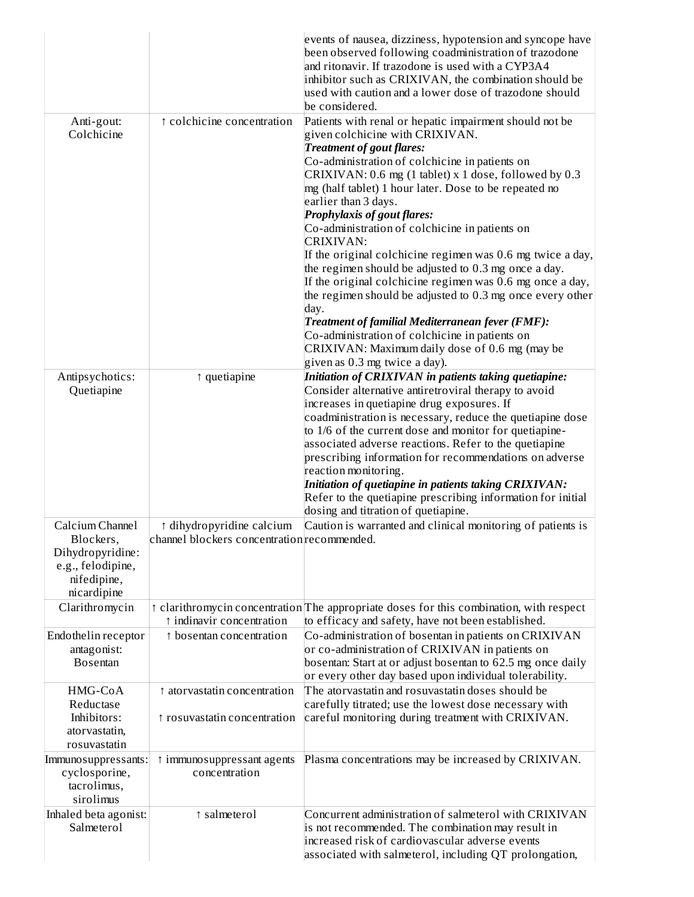|                                                                              | events of nausea, dizziness, hypotension and syncope have<br>been observed following coadministration of trazodone<br>and ritonavir. If trazodone is used with a CYP3A4<br>inhibitor such as CRIXIVAN, the combination should be<br>used with caution and a lower dose of trazodone should<br>be considered. |
|------------------------------------------------------------------------------|--------------------------------------------------------------------------------------------------------------------------------------------------------------------------------------------------------------------------------------------------------------------------------------------------------------|
| ↑ colchicine concentration<br>Anti-gout:<br>Colchicine                       | Patients with renal or hepatic impairment should not be<br>given colchicine with CRIXIVAN.<br><b>Treatment of gout flares:</b><br>Co-administration of colchicine in patients on                                                                                                                             |
|                                                                              | CRIXIVAN: 0.6 mg (1 tablet) x 1 dose, followed by 0.3<br>mg (half tablet) 1 hour later. Dose to be repeated no<br>earlier than 3 days.                                                                                                                                                                       |
|                                                                              | <b>Prophylaxis of gout flares:</b><br>Co-administration of colchicine in patients on<br>CRIXIVAN:                                                                                                                                                                                                            |
|                                                                              | If the original colchicine regimen was 0.6 mg twice a day,<br>the regimen should be adjusted to 0.3 mg once a day.<br>If the original colchicine regimen was 0.6 mg once a day,<br>the regimen should be adjusted to 0.3 mg once every other                                                                 |
|                                                                              | day.<br>Treatment of familial Mediterranean fever (FMF):<br>Co-administration of colchicine in patients on<br>CRIXIVAN: Maximum daily dose of 0.6 mg (may be<br>given as 0.3 mg twice a day).                                                                                                                |
| Antipsychotics:<br>↑ quetiapine                                              | <b>Initiation of CRIXIVAN in patients taking quetiapine:</b>                                                                                                                                                                                                                                                 |
| Quetiapine                                                                   | Consider alternative antiretroviral therapy to avoid<br>increases in quetiapine drug exposures. If                                                                                                                                                                                                           |
|                                                                              | coadministration is necessary, reduce the quetiapine dose                                                                                                                                                                                                                                                    |
|                                                                              | to 1/6 of the current dose and monitor for quetiapine-<br>associated adverse reactions. Refer to the quetiapine                                                                                                                                                                                              |
|                                                                              | prescribing information for recommendations on adverse<br>reaction monitoring.                                                                                                                                                                                                                               |
|                                                                              | Initiation of quetiapine in patients taking CRIXIVAN:                                                                                                                                                                                                                                                        |
|                                                                              | Refer to the quetiapine prescribing information for initial                                                                                                                                                                                                                                                  |
| Calcium Channel<br>↑ dihydropyridine calcium                                 | dosing and titration of quetiapine.<br>Caution is warranted and clinical monitoring of patients is                                                                                                                                                                                                           |
| channel blockers concentration recommended.<br>Blockers,                     |                                                                                                                                                                                                                                                                                                              |
| Dihydropyridine:<br>e.g., felodipine,                                        |                                                                                                                                                                                                                                                                                                              |
| nifedipine,                                                                  |                                                                                                                                                                                                                                                                                                              |
| nicardipine<br>Clarithromycin                                                | t clarithromycin concentration The appropriate doses for this combination, with respect                                                                                                                                                                                                                      |
| ↑ indinavir concentration                                                    | to efficacy and safety, have not been established.                                                                                                                                                                                                                                                           |
| Endothelin receptor<br>t bosentan concentration<br>antagonist:               | Co-administration of bosentan in patients on CRIXIVAN<br>or co-administration of CRIXIVAN in patients on                                                                                                                                                                                                     |
| <b>Bosentan</b>                                                              | bosentan: Start at or adjust bosentan to 62.5 mg once daily                                                                                                                                                                                                                                                  |
| HMG-CoA<br>↑ atorvastatin concentration                                      | or every other day based upon individual tolerability.<br>The atorvastatin and rosuvastatin doses should be                                                                                                                                                                                                  |
| Reductase                                                                    | carefully titrated; use the lowest dose necessary with                                                                                                                                                                                                                                                       |
| Inhibitors:<br>↑ rosuvastatin concentration<br>atorvastatin,<br>rosuvastatin | careful monitoring during treatment with CRIXIVAN.                                                                                                                                                                                                                                                           |
| Immunosuppressants:<br>↑ immunosuppressant agents                            | Plasma concentrations may be increased by CRIXIVAN.                                                                                                                                                                                                                                                          |
| cyclosporine,<br>concentration<br>tacrolimus,<br>sirolimus                   |                                                                                                                                                                                                                                                                                                              |
| Inhaled beta agonist:<br>↑ salmeterol<br>Salmeterol                          | Concurrent administration of salmeterol with CRIXIVAN                                                                                                                                                                                                                                                        |
|                                                                              | is not recommended. The combination may result in<br>increased risk of cardiovascular adverse events<br>associated with salmeterol, including QT prolongation,                                                                                                                                               |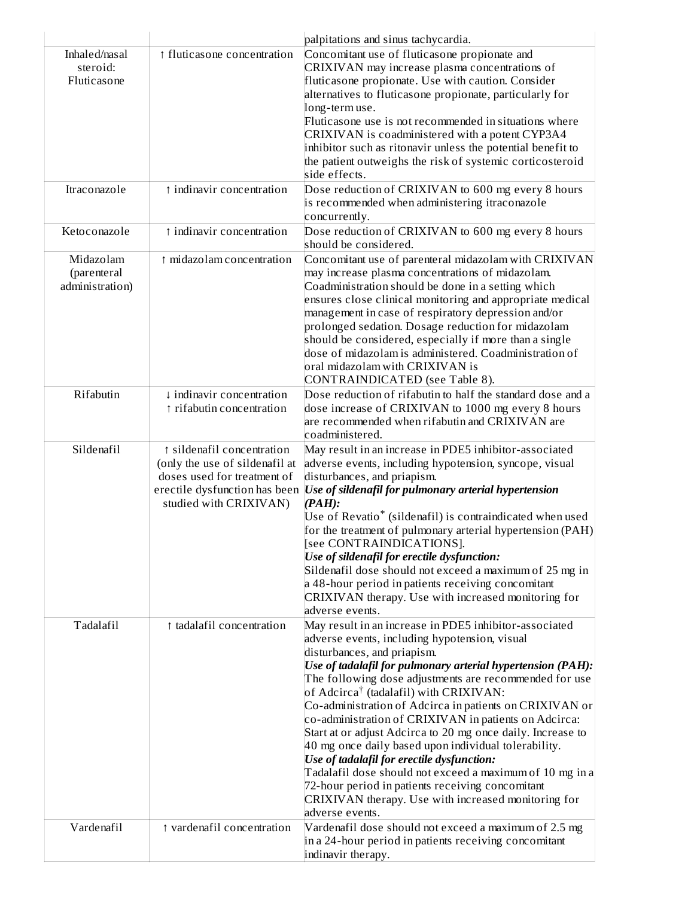|                                             |                                                                                                                                                        | palpitations and sinus tachycardia.                                                                                                                                                                                                                                                                                                                                                                                                                                                                                                                                                                                                                                                                                                                                                                      |
|---------------------------------------------|--------------------------------------------------------------------------------------------------------------------------------------------------------|----------------------------------------------------------------------------------------------------------------------------------------------------------------------------------------------------------------------------------------------------------------------------------------------------------------------------------------------------------------------------------------------------------------------------------------------------------------------------------------------------------------------------------------------------------------------------------------------------------------------------------------------------------------------------------------------------------------------------------------------------------------------------------------------------------|
| Inhaled/nasal<br>steroid:<br>Fluticasone    | ↑ fluticasone concentration                                                                                                                            | Concomitant use of fluticasone propionate and<br>CRIXIVAN may increase plasma concentrations of<br>fluticasone propionate. Use with caution. Consider<br>alternatives to fluticasone propionate, particularly for<br>long-term use.<br>Fluticasone use is not recommended in situations where<br>CRIXIVAN is coadministered with a potent CYP3A4<br>inhibitor such as ritonavir unless the potential benefit to<br>the patient outweighs the risk of systemic corticosteroid<br>side effects.                                                                                                                                                                                                                                                                                                            |
| Itraconazole                                | ↑ indinavir concentration                                                                                                                              | Dose reduction of CRIXIVAN to 600 mg every 8 hours<br>is recommended when administering itraconazole<br>concurrently.                                                                                                                                                                                                                                                                                                                                                                                                                                                                                                                                                                                                                                                                                    |
| Ketoconazole                                | <i>t</i> indinavir concentration                                                                                                                       | Dose reduction of CRIXIVAN to 600 mg every 8 hours<br>should be considered.                                                                                                                                                                                                                                                                                                                                                                                                                                                                                                                                                                                                                                                                                                                              |
| Midazolam<br>(parenteral<br>administration) | ↑ midazolam concentration                                                                                                                              | Concomitant use of parenteral midazolam with CRIXIVAN<br>may increase plasma concentrations of midazolam.<br>Coadministration should be done in a setting which<br>ensures close clinical monitoring and appropriate medical<br>management in case of respiratory depression and/or<br>prolonged sedation. Dosage reduction for midazolam<br>should be considered, especially if more than a single<br>dose of midazolam is administered. Coadministration of<br>oral midazolam with CRIXIVAN is<br>CONTRAINDICATED (see Table 8).                                                                                                                                                                                                                                                                       |
| Rifabutin                                   | ↓ indinavir concentration<br>↑ rifabutin concentration                                                                                                 | Dose reduction of rifabutin to half the standard dose and a<br>dose increase of CRIXIVAN to 1000 mg every 8 hours<br>are recommended when rifabutin and CRIXIVAN are<br>coadministered.                                                                                                                                                                                                                                                                                                                                                                                                                                                                                                                                                                                                                  |
| Sildenafil                                  | ↑ sildenafil concentration<br>(only the use of sildenafil at<br>doses used for treatment of<br>erectile dysfunction has been<br>studied with CRIXIVAN) | May result in an increase in PDE5 inhibitor-associated<br>adverse events, including hypotension, syncope, visual<br>disturbances, and priapism.<br>Use of sildenafil for pulmonary arterial hypertension<br>(PAH):<br>Use of Revatio <sup>*</sup> (sildenafil) is contraindicated when used<br>for the treatment of pulmonary arterial hypertension (PAH)<br>[see CONTRAINDICATIONS].<br>Use of sildenafil for erectile dysfunction:<br>Sildenafil dose should not exceed a maximum of 25 mg in<br>a 48-hour period in patients receiving concomitant<br>CRIXIVAN therapy. Use with increased monitoring for<br>adverse events.                                                                                                                                                                          |
| Tadalafil                                   | ↑ tadalafil concentration                                                                                                                              | May result in an increase in PDE5 inhibitor-associated<br>adverse events, including hypotension, visual<br>disturbances, and priapism.<br>Use of tadalafil for pulmonary arterial hypertension (PAH):<br>The following dose adjustments are recommended for use<br>of Adcirca <sup>†</sup> (tadalafil) with CRIXIVAN:<br>Co-administration of Adcirca in patients on CRIXIVAN or<br>co-administration of CRIXIVAN in patients on Adcirca:<br>Start at or adjust Adcirca to 20 mg once daily. Increase to<br>40 mg once daily based upon individual tolerability.<br>Use of tadalafil for erectile dysfunction:<br>Tadalafil dose should not exceed a maximum of 10 mg in a<br>72-hour period in patients receiving concomitant<br>CRIXIVAN therapy. Use with increased monitoring for<br>adverse events. |
| Vardenafil                                  | t vardenafil concentration                                                                                                                             | Vardenafil dose should not exceed a maximum of 2.5 mg<br>in a 24-hour period in patients receiving concomitant<br>indinavir therapy.                                                                                                                                                                                                                                                                                                                                                                                                                                                                                                                                                                                                                                                                     |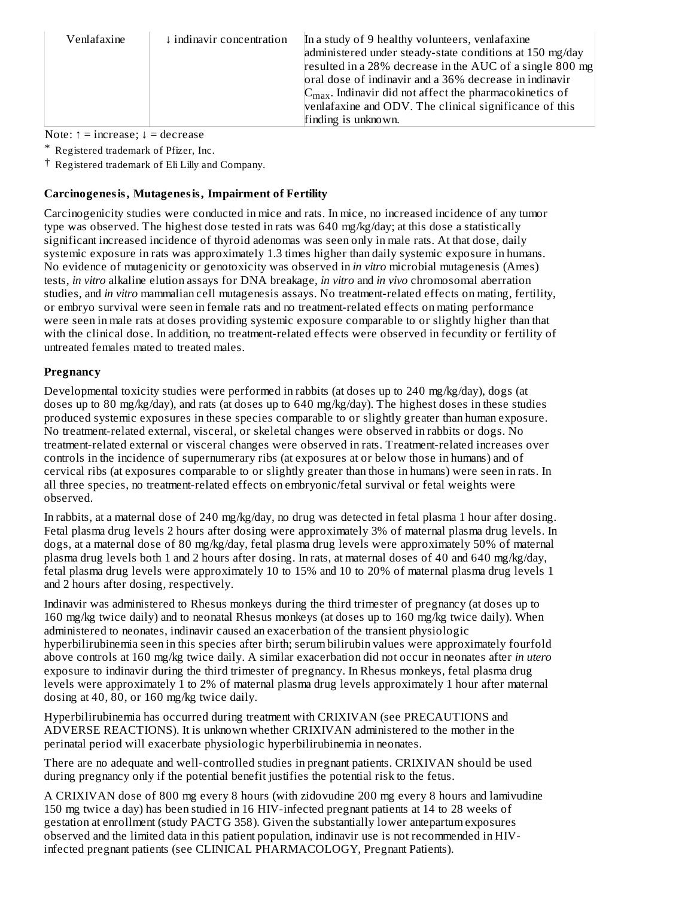Note: ↑ = increase; ↓ = decrease

\* Registered trademark of Pfizer, Inc.

† Registered trademark of Eli Lilly and Company.

### **Carcinogenesis, Mutagenesis, Impairment of Fertility**

Carcinogenicity studies were conducted in mice and rats. In mice, no increased incidence of any tumor type was observed. The highest dose tested in rats was 640 mg/kg/day; at this dose a statistically significant increased incidence of thyroid adenomas was seen only in male rats. At that dose, daily systemic exposure in rats was approximately 1.3 times higher than daily systemic exposure in humans. No evidence of mutagenicity or genotoxicity was observed in *in vitro* microbial mutagenesis (Ames) tests, *in vitro* alkaline elution assays for DNA breakage, *in vitro* and *in vivo* chromosomal aberration studies, and *in vitro* mammalian cell mutagenesis assays. No treatment-related effects on mating, fertility, or embryo survival were seen in female rats and no treatment-related effects on mating performance were seen in male rats at doses providing systemic exposure comparable to or slightly higher than that with the clinical dose. In addition, no treatment-related effects were observed in fecundity or fertility of untreated females mated to treated males.

### **Pregnancy**

Developmental toxicity studies were performed in rabbits (at doses up to 240 mg/kg/day), dogs (at doses up to 80 mg/kg/day), and rats (at doses up to 640 mg/kg/day). The highest doses in these studies produced systemic exposures in these species comparable to or slightly greater than human exposure. No treatment-related external, visceral, or skeletal changes were observed in rabbits or dogs. No treatment-related external or visceral changes were observed in rats. Treatment-related increases over controls in the incidence of supernumerary ribs (at exposures at or below those in humans) and of cervical ribs (at exposures comparable to or slightly greater than those in humans) were seen in rats. In all three species, no treatment-related effects on embryonic/fetal survival or fetal weights were observed.

In rabbits, at a maternal dose of 240 mg/kg/day, no drug was detected in fetal plasma 1 hour after dosing. Fetal plasma drug levels 2 hours after dosing were approximately 3% of maternal plasma drug levels. In dogs, at a maternal dose of 80 mg/kg/day, fetal plasma drug levels were approximately 50% of maternal plasma drug levels both 1 and 2 hours after dosing. In rats, at maternal doses of 40 and 640 mg/kg/day, fetal plasma drug levels were approximately 10 to 15% and 10 to 20% of maternal plasma drug levels 1 and 2 hours after dosing, respectively.

Indinavir was administered to Rhesus monkeys during the third trimester of pregnancy (at doses up to 160 mg/kg twice daily) and to neonatal Rhesus monkeys (at doses up to 160 mg/kg twice daily). When administered to neonates, indinavir caused an exacerbation of the transient physiologic hyperbilirubinemia seen in this species after birth; serum bilirubin values were approximately fourfold above controls at 160 mg/kg twice daily. A similar exacerbation did not occur in neonates after *in utero* exposure to indinavir during the third trimester of pregnancy. In Rhesus monkeys, fetal plasma drug levels were approximately 1 to 2% of maternal plasma drug levels approximately 1 hour after maternal dosing at 40, 80, or 160 mg/kg twice daily.

Hyperbilirubinemia has occurred during treatment with CRIXIVAN (see PRECAUTIONS and ADVERSE REACTIONS). It is unknown whether CRIXIVAN administered to the mother in the perinatal period will exacerbate physiologic hyperbilirubinemia in neonates.

There are no adequate and well-controlled studies in pregnant patients. CRIXIVAN should be used during pregnancy only if the potential benefit justifies the potential risk to the fetus.

A CRIXIVAN dose of 800 mg every 8 hours (with zidovudine 200 mg every 8 hours and lamivudine 150 mg twice a day) has been studied in 16 HIV-infected pregnant patients at 14 to 28 weeks of gestation at enrollment (study PACTG 358). Given the substantially lower antepartum exposures observed and the limited data in this patient population, indinavir use is not recommended in HIVinfected pregnant patients (see CLINICAL PHARMACOLOGY, Pregnant Patients).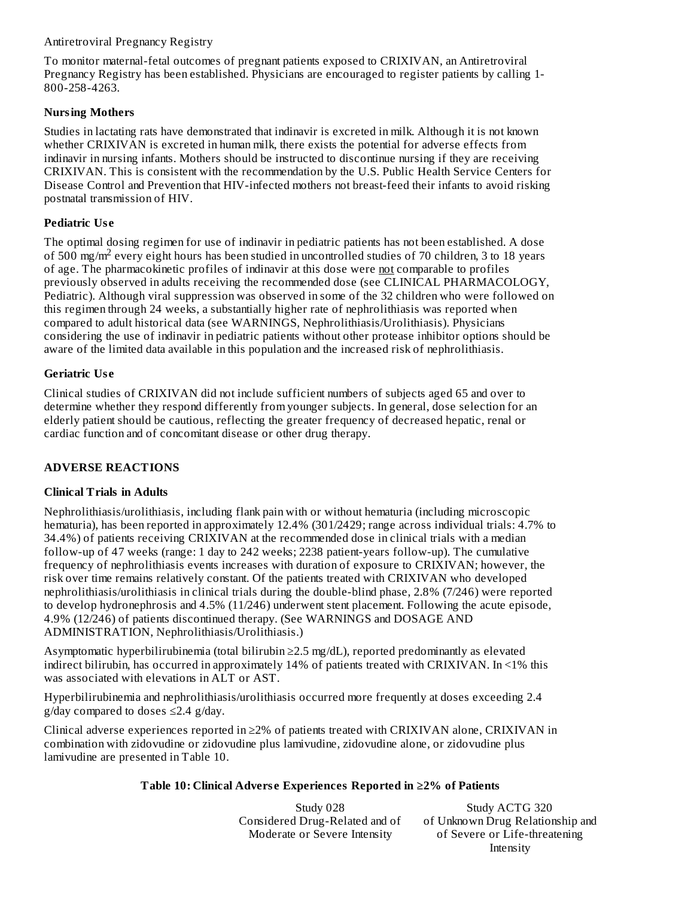### Antiretroviral Pregnancy Registry

To monitor maternal-fetal outcomes of pregnant patients exposed to CRIXIVAN, an Antiretroviral Pregnancy Registry has been established. Physicians are encouraged to register patients by calling 1- 800-258-4263.

### **Nursing Mothers**

Studies in lactating rats have demonstrated that indinavir is excreted in milk. Although it is not known whether CRIXIVAN is excreted in human milk, there exists the potential for adverse effects from indinavir in nursing infants. Mothers should be instructed to discontinue nursing if they are receiving CRIXIVAN. This is consistent with the recommendation by the U.S. Public Health Service Centers for Disease Control and Prevention that HIV-infected mothers not breast-feed their infants to avoid risking postnatal transmission of HIV.

### **Pediatric Us e**

The optimal dosing regimen for use of indinavir in pediatric patients has not been established. A dose of 500 mg/m<sup>2</sup> every eight hours has been studied in uncontrolled studies of 70 children, 3 to 18 years of age. The pharmacokinetic profiles of indinavir at this dose were not comparable to profiles previously observed in adults receiving the recommended dose (see CLINICAL PHARMACOLOGY, Pediatric). Although viral suppression was observed in some of the 32 children who were followed on this regimen through 24 weeks, a substantially higher rate of nephrolithiasis was reported when compared to adult historical data (see WARNINGS, Nephrolithiasis/Urolithiasis). Physicians considering the use of indinavir in pediatric patients without other protease inhibitor options should be aware of the limited data available in this population and the increased risk of nephrolithiasis.

## **Geriatric Us e**

Clinical studies of CRIXIVAN did not include sufficient numbers of subjects aged 65 and over to determine whether they respond differently from younger subjects. In general, dose selection for an elderly patient should be cautious, reflecting the greater frequency of decreased hepatic, renal or cardiac function and of concomitant disease or other drug therapy.

# **ADVERSE REACTIONS**

# **Clinical Trials in Adults**

Nephrolithiasis/urolithiasis, including flank pain with or without hematuria (including microscopic hematuria), has been reported in approximately 12.4% (301/2429; range across individual trials: 4.7% to 34.4%) of patients receiving CRIXIVAN at the recommended dose in clinical trials with a median follow-up of 47 weeks (range: 1 day to 242 weeks; 2238 patient-years follow-up). The cumulative frequency of nephrolithiasis events increases with duration of exposure to CRIXIVAN; however, the risk over time remains relatively constant. Of the patients treated with CRIXIVAN who developed nephrolithiasis/urolithiasis in clinical trials during the double-blind phase, 2.8% (7/246) were reported to develop hydronephrosis and 4.5% (11/246) underwent stent placement. Following the acute episode, 4.9% (12/246) of patients discontinued therapy. (See WARNINGS and DOSAGE AND ADMINISTRATION, Nephrolithiasis/Urolithiasis.)

Asymptomatic hyperbilirubinemia (total bilirubin ≥2.5 mg/dL), reported predominantly as elevated indirect bilirubin, has occurred in approximately 14% of patients treated with CRIXIVAN. In <1% this was associated with elevations in ALT or AST.

Hyperbilirubinemia and nephrolithiasis/urolithiasis occurred more frequently at doses exceeding 2.4 g/day compared to doses ≤2.4 g/day.

Clinical adverse experiences reported in ≥2% of patients treated with CRIXIVAN alone, CRIXIVAN in combination with zidovudine or zidovudine plus lamivudine, zidovudine alone, or zidovudine plus lamivudine are presented in Table 10.

### **Table 10: Clinical Advers e Experiences Reported in ≥2% of Patients**

Study 028 Considered Drug-Related and of Moderate or Severe Intensity

Study ACTG 320 of Unknown Drug Relationship and of Severe or Life-threatening Intensity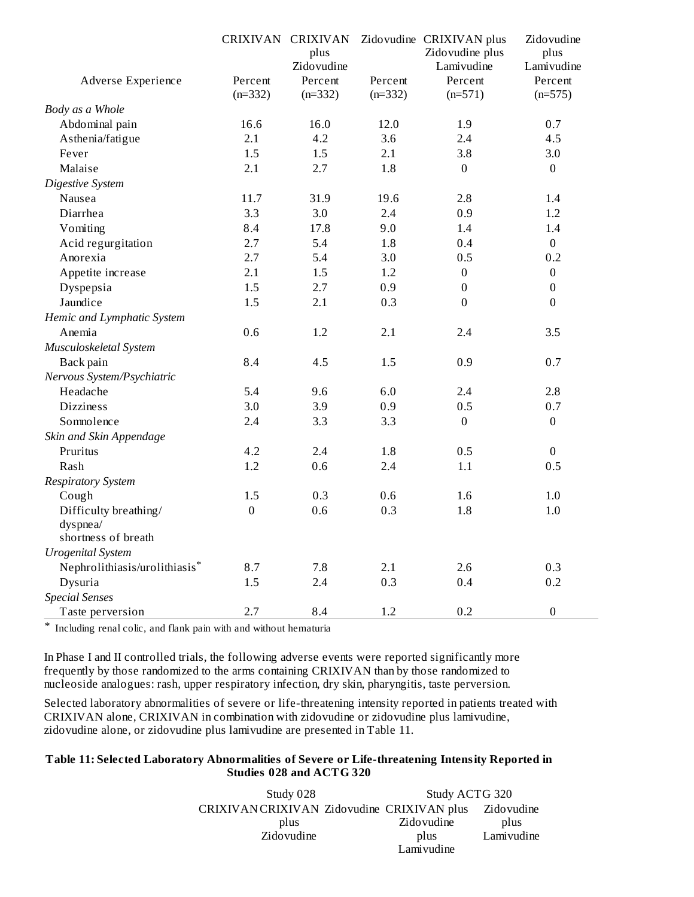|                                                          |                      | CRIXIVAN CRIXIVAN<br>plus<br>Zidovudine |                      | Zidovudine CRIXIVAN plus<br>Zidovudine plus<br>Lamivudine | Zidovudine<br>plus<br>Lamivudine |
|----------------------------------------------------------|----------------------|-----------------------------------------|----------------------|-----------------------------------------------------------|----------------------------------|
| Adverse Experience                                       | Percent<br>$(n=332)$ | Percent<br>$(n=332)$                    | Percent<br>$(n=332)$ | Percent<br>$(n=571)$                                      | Percent<br>$(n=575)$             |
| Body as a Whole                                          |                      |                                         |                      |                                                           |                                  |
| Abdominal pain                                           | 16.6                 | 16.0                                    | 12.0                 | 1.9                                                       | 0.7                              |
| Asthenia/fatigue                                         | 2.1                  | 4.2                                     | 3.6                  | 2.4                                                       | 4.5                              |
| Fever                                                    | 1.5                  | 1.5                                     | 2.1                  | 3.8                                                       | 3.0                              |
| Malaise                                                  | 2.1                  | 2.7                                     | $1.8\,$              | $\boldsymbol{0}$                                          | $\mathbf{0}$                     |
| <b>Digestive System</b>                                  |                      |                                         |                      |                                                           |                                  |
| Nausea                                                   | 11.7                 | 31.9                                    | 19.6                 | 2.8                                                       | 1.4                              |
| Diarrhea                                                 | 3.3                  | 3.0                                     | 2.4                  | 0.9                                                       | 1.2                              |
| Vomiting                                                 | 8.4                  | 17.8                                    | 9.0                  | 1.4                                                       | 1.4                              |
| Acid regurgitation                                       | 2.7                  | 5.4                                     | 1.8                  | 0.4                                                       | $\mathbf{0}$                     |
| Anorexia                                                 | 2.7                  | 5.4                                     | 3.0                  | 0.5                                                       | 0.2                              |
| Appetite increase                                        | 2.1                  | 1.5                                     | 1.2                  | $\boldsymbol{0}$                                          | $\boldsymbol{0}$                 |
| Dyspepsia                                                | 1.5                  | 2.7                                     | 0.9                  | $\boldsymbol{0}$                                          | $\boldsymbol{0}$                 |
| Jaundice                                                 | 1.5                  | 2.1                                     | 0.3                  | $\boldsymbol{0}$                                          | $\boldsymbol{0}$                 |
| Hemic and Lymphatic System                               |                      |                                         |                      |                                                           |                                  |
| Anemia                                                   | 0.6                  | 1.2                                     | 2.1                  | 2.4                                                       | 3.5                              |
| Musculoskeletal System                                   |                      |                                         |                      |                                                           |                                  |
| Back pain                                                | 8.4                  | 4.5                                     | 1.5                  | 0.9                                                       | 0.7                              |
| Nervous System/Psychiatric                               |                      |                                         |                      |                                                           |                                  |
| Headache                                                 | 5.4                  | 9.6                                     | 6.0                  | 2.4                                                       | 2.8                              |
| <b>Dizziness</b>                                         | 3.0                  | 3.9                                     | 0.9                  | 0.5                                                       | 0.7                              |
| Somnolence                                               | 2.4                  | 3.3                                     | 3.3                  | $\boldsymbol{0}$                                          | $\boldsymbol{0}$                 |
| Skin and Skin Appendage                                  |                      |                                         |                      |                                                           |                                  |
| Pruritus                                                 | 4.2                  | 2.4                                     | 1.8                  | 0.5                                                       | $\boldsymbol{0}$                 |
| Rash                                                     | 1.2                  | 0.6                                     | 2.4                  | 1.1                                                       | 0.5                              |
| <b>Respiratory System</b>                                |                      |                                         |                      |                                                           |                                  |
| Cough                                                    | 1.5                  | 0.3                                     | 0.6                  | 1.6                                                       | 1.0                              |
| Difficulty breathing/<br>dyspnea/<br>shortness of breath | $\boldsymbol{0}$     | 0.6                                     | 0.3                  | 1.8                                                       | $1.0\,$                          |
| <b>Urogenital System</b>                                 |                      |                                         |                      |                                                           |                                  |
| Nephrolithiasis/urolithiasis*                            | 8.7                  | 7.8                                     | 2.1                  | 2.6                                                       | 0.3                              |
| Dysuria                                                  | 1.5                  | 2.4                                     | 0.3                  | 0.4                                                       | 0.2                              |
| <b>Special Senses</b>                                    |                      |                                         |                      |                                                           |                                  |
| Taste perversion                                         | 2.7                  | 8.4                                     | 1.2                  | 0.2                                                       | $\boldsymbol{0}$                 |

\* Including renal colic, and flank pain with and without hematuria

In Phase I and II controlled trials, the following adverse events were reported significantly more frequently by those randomized to the arms containing CRIXIVAN than by those randomized to nucleoside analogues: rash, upper respiratory infection, dry skin, pharyngitis, taste perversion.

Selected laboratory abnormalities of severe or life-threatening intensity reported in patients treated with CRIXIVAN alone, CRIXIVAN in combination with zidovudine or zidovudine plus lamivudine, zidovudine alone, or zidovudine plus lamivudine are presented in Table 11.

#### **Table 11: Selected Laboratory Abnormalities of Severe or Life-threatening Intensity Reported in Studies 028 and ACTG 320**

| Study 028                                             |  | Study ACTG 320 |            |  |  |
|-------------------------------------------------------|--|----------------|------------|--|--|
| CRIXIVAN CRIXIVAN Zidovudine CRIXIVAN plus Zidovudine |  |                |            |  |  |
| plus                                                  |  | Zidovudine     | plus       |  |  |
| Zidovudine                                            |  | plus           | Lamivudine |  |  |
|                                                       |  | Lamivudine     |            |  |  |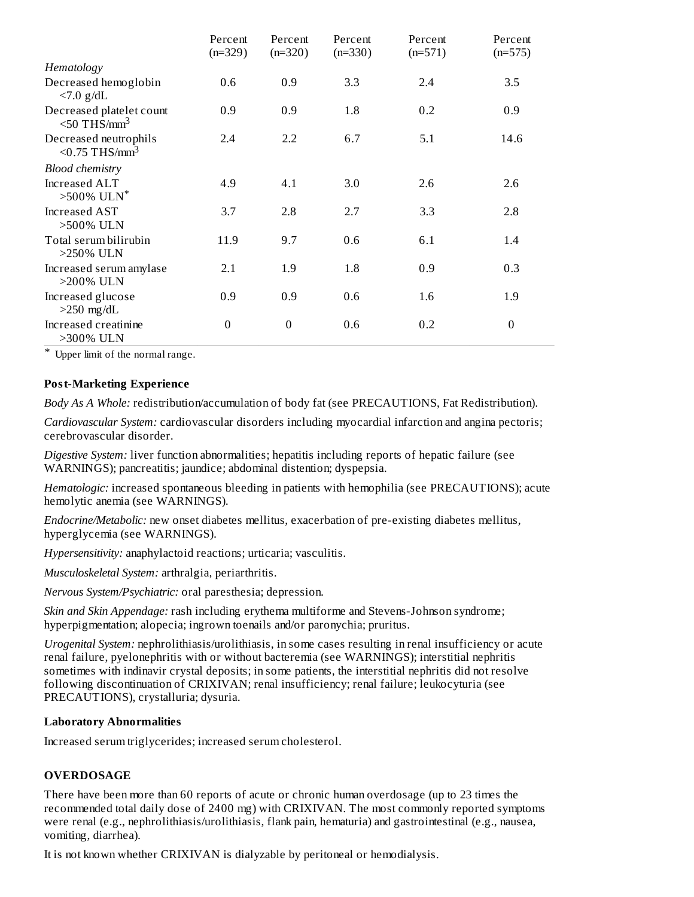|                                                        | Percent<br>$(n=329)$ | Percent<br>$(n=320)$ | Percent<br>$(n=330)$ | Percent<br>$(n=571)$ | Percent<br>$(n=575)$ |
|--------------------------------------------------------|----------------------|----------------------|----------------------|----------------------|----------------------|
| Hematology                                             |                      |                      |                      |                      |                      |
| Decreased hemoglobin<br>$< 7.0$ g/dL                   | 0.6                  | 0.9                  | 3.3                  | 2.4                  | 3.5                  |
| Decreased platelet count<br>$<$ 50 THS/mm <sup>3</sup> | 0.9                  | 0.9                  | 1.8                  | 0.2                  | 0.9                  |
| Decreased neutrophils<br>$<$ 0.75 THS/mm <sup>3</sup>  | 2.4                  | 2.2                  | 6.7                  | 5.1                  | 14.6                 |
| <b>Blood chemistry</b>                                 |                      |                      |                      |                      |                      |
| <b>Increased ALT</b><br>$>500\%$ ULN <sup>*</sup>      | 4.9                  | 4.1                  | 3.0                  | 2.6                  | 2.6                  |
| <b>Increased AST</b><br>>500% ULN                      | 3.7                  | 2.8                  | 2.7                  | 3.3                  | 2.8                  |
| Total serum bilirubin<br>>250% ULN                     | 11.9                 | 9.7                  | 0.6                  | 6.1                  | 1.4                  |
| Increased serum amylase<br>>200% ULN                   | 2.1                  | 1.9                  | 1.8                  | 0.9                  | 0.3                  |
| Increased glucose<br>$>250$ mg/dL                      | 0.9                  | 0.9                  | 0.6                  | 1.6                  | 1.9                  |
| Increased creatinine<br>>300% ULN                      | $\boldsymbol{0}$     | $\Omega$             | 0.6                  | 0.2                  | $\boldsymbol{0}$     |

\* Upper limit of the normal range.

### **Post-Marketing Experience**

*Body As A Whole:* redistribution/accumulation of body fat (see PRECAUTIONS, Fat Redistribution).

*Cardiovascular System:* cardiovascular disorders including myocardial infarction and angina pectoris; cerebrovascular disorder.

*Digestive System:* liver function abnormalities; hepatitis including reports of hepatic failure (see WARNINGS); pancreatitis; jaundice; abdominal distention; dyspepsia.

*Hematologic:* increased spontaneous bleeding in patients with hemophilia (see PRECAUTIONS); acute hemolytic anemia (see WARNINGS).

*Endocrine/Metabolic:* new onset diabetes mellitus, exacerbation of pre-existing diabetes mellitus, hyperglycemia (see WARNINGS).

*Hypersensitivity:* anaphylactoid reactions; urticaria; vasculitis.

*Musculoskeletal System:* arthralgia, periarthritis.

*Nervous System/Psychiatric:* oral paresthesia; depression.

*Skin and Skin Appendage:* rash including erythema multiforme and Stevens-Johnson syndrome; hyperpigmentation; alopecia; ingrown toenails and/or paronychia; pruritus.

*Urogenital System:* nephrolithiasis/urolithiasis, in some cases resulting in renal insufficiency or acute renal failure, pyelonephritis with or without bacteremia (see WARNINGS); interstitial nephritis sometimes with indinavir crystal deposits; in some patients, the interstitial nephritis did not resolve following discontinuation of CRIXIVAN; renal insufficiency; renal failure; leukocyturia (see PRECAUTIONS), crystalluria; dysuria.

### **Laboratory Abnormalities**

Increased serum triglycerides; increased serum cholesterol.

### **OVERDOSAGE**

There have been more than 60 reports of acute or chronic human overdosage (up to 23 times the recommended total daily dose of 2400 mg) with CRIXIVAN. The most commonly reported symptoms were renal (e.g., nephrolithiasis/urolithiasis, flank pain, hematuria) and gastrointestinal (e.g., nausea, vomiting, diarrhea).

It is not known whether CRIXIVAN is dialyzable by peritoneal or hemodialysis.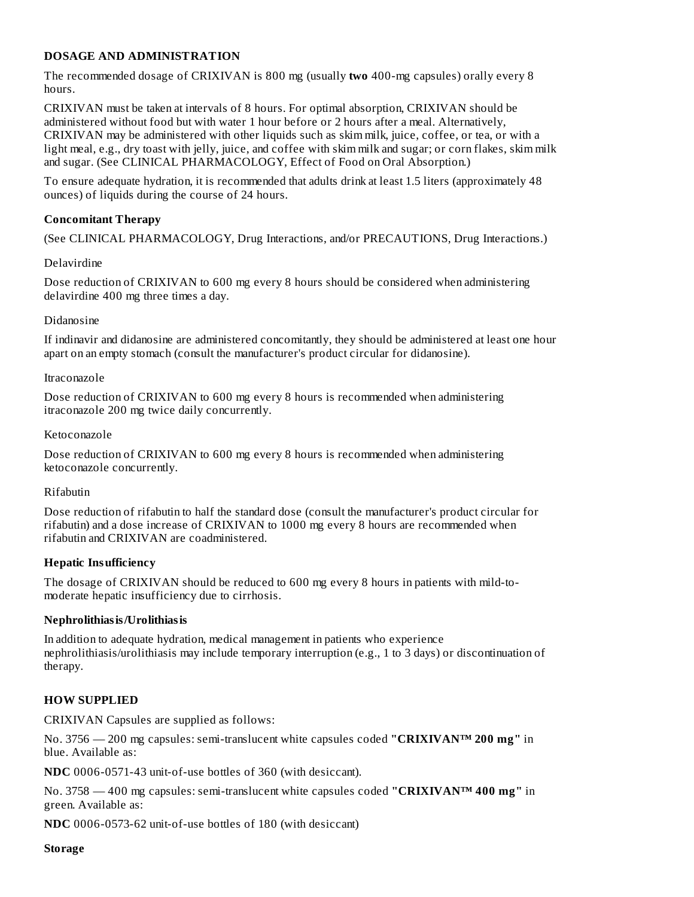### **DOSAGE AND ADMINISTRATION**

The recommended dosage of CRIXIVAN is 800 mg (usually **two** 400-mg capsules) orally every 8 hours.

CRIXIVAN must be taken at intervals of 8 hours. For optimal absorption, CRIXIVAN should be administered without food but with water 1 hour before or 2 hours after a meal. Alternatively, CRIXIVAN may be administered with other liquids such as skim milk, juice, coffee, or tea, or with a light meal, e.g., dry toast with jelly, juice, and coffee with skim milk and sugar; or corn flakes, skim milk and sugar. (See CLINICAL PHARMACOLOGY, Effect of Food on Oral Absorption.)

To ensure adequate hydration, it is recommended that adults drink at least 1.5 liters (approximately 48 ounces) of liquids during the course of 24 hours.

#### **Concomitant Therapy**

(See CLINICAL PHARMACOLOGY, Drug Interactions, and/or PRECAUTIONS, Drug Interactions.)

#### Delavirdine

Dose reduction of CRIXIVAN to 600 mg every 8 hours should be considered when administering delavirdine 400 mg three times a day.

#### Didanosine

If indinavir and didanosine are administered concomitantly, they should be administered at least one hour apart on an empty stomach (consult the manufacturer's product circular for didanosine).

#### Itraconazole

Dose reduction of CRIXIVAN to 600 mg every 8 hours is recommended when administering itraconazole 200 mg twice daily concurrently.

#### Ketoconazole

Dose reduction of CRIXIVAN to 600 mg every 8 hours is recommended when administering ketoconazole concurrently.

### Rifabutin

Dose reduction of rifabutin to half the standard dose (consult the manufacturer's product circular for rifabutin) and a dose increase of CRIXIVAN to 1000 mg every 8 hours are recommended when rifabutin and CRIXIVAN are coadministered.

#### **Hepatic Insufficiency**

The dosage of CRIXIVAN should be reduced to 600 mg every 8 hours in patients with mild-tomoderate hepatic insufficiency due to cirrhosis.

### **Nephrolithiasis/Urolithiasis**

In addition to adequate hydration, medical management in patients who experience nephrolithiasis/urolithiasis may include temporary interruption (e.g., 1 to 3 days) or discontinuation of therapy.

### **HOW SUPPLIED**

CRIXIVAN Capsules are supplied as follows:

No. 3756 — 200 mg capsules: semi-translucent white capsules coded **"CRIXIVAN™ 200 mg"** in blue. Available as:

**NDC** 0006-0571-43 unit-of-use bottles of 360 (with desiccant).

No. 3758 — 400 mg capsules: semi-translucent white capsules coded **"CRIXIVAN™ 400 mg"** in green. Available as:

**NDC** 0006-0573-62 unit-of-use bottles of 180 (with desiccant)

**Storage**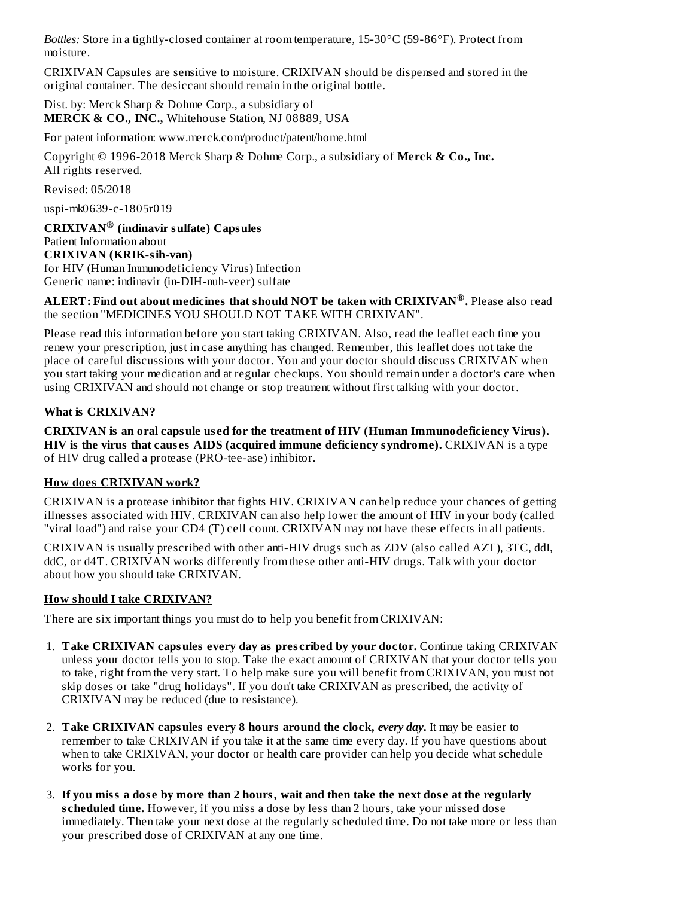*Bottles:* Store in a tightly-closed container at room temperature, 15-30°C (59-86°F). Protect from moisture.

CRIXIVAN Capsules are sensitive to moisture. CRIXIVAN should be dispensed and stored in the original container. The desiccant should remain in the original bottle.

Dist. by: Merck Sharp & Dohme Corp., a subsidiary of **MERCK & CO., INC.,** Whitehouse Station, NJ 08889, USA

For patent information: www.merck.com/product/patent/home.html

Copyright © 1996-2018 Merck Sharp & Dohme Corp., a subsidiary of **Merck & Co., Inc.** All rights reserved.

Revised: 05/2018

uspi-mk0639-c-1805r019

**CRIXIVAN (indinavir sulfate) Capsules ®** Patient Information about **CRIXIVAN (KRIK-sih-van)** for HIV (Human Immunodeficiency Virus) Infection Generic name: indinavir (in-DIH-nuh-veer) sulfate

**ALERT: Find out about medicines that should NOT be taken with CRIXIVAN .** Please also read **®**the section "MEDICINES YOU SHOULD NOT TAKE WITH CRIXIVAN".

Please read this information before you start taking CRIXIVAN. Also, read the leaflet each time you renew your prescription, just in case anything has changed. Remember, this leaflet does not take the place of careful discussions with your doctor. You and your doctor should discuss CRIXIVAN when you start taking your medication and at regular checkups. You should remain under a doctor's care when using CRIXIVAN and should not change or stop treatment without first talking with your doctor.

### **What is CRIXIVAN?**

**CRIXIVAN is an oral capsule us ed for the treatment of HIV (Human Immunodeficiency Virus). HIV is the virus that caus es AIDS (acquired immune deficiency syndrome).** CRIXIVAN is a type of HIV drug called a protease (PRO-tee-ase) inhibitor.

# **How does CRIXIVAN work?**

CRIXIVAN is a protease inhibitor that fights HIV. CRIXIVAN can help reduce your chances of getting illnesses associated with HIV. CRIXIVAN can also help lower the amount of HIV in your body (called "viral load") and raise your CD4 (T) cell count. CRIXIVAN may not have these effects in all patients.

CRIXIVAN is usually prescribed with other anti-HIV drugs such as ZDV (also called AZT), 3TC, ddI, ddC, or d4T. CRIXIVAN works differently from these other anti-HIV drugs. Talk with your doctor about how you should take CRIXIVAN.

### **How should I take CRIXIVAN?**

There are six important things you must do to help you benefit from CRIXIVAN:

- 1. **Take CRIXIVAN capsules every day as pres cribed by your doctor.** Continue taking CRIXIVAN unless your doctor tells you to stop. Take the exact amount of CRIXIVAN that your doctor tells you to take, right from the very start. To help make sure you will benefit from CRIXIVAN, you must not skip doses or take "drug holidays". If you don't take CRIXIVAN as prescribed, the activity of CRIXIVAN may be reduced (due to resistance).
- 2. **Take CRIXIVAN capsules every 8 hours around the clock,** *every day***.** It may be easier to remember to take CRIXIVAN if you take it at the same time every day. If you have questions about when to take CRIXIVAN, your doctor or health care provider can help you decide what schedule works for you.
- 3. If you miss a dose by more than 2 hours, wait and then take the next dose at the regularly **s cheduled time.** However, if you miss a dose by less than 2 hours, take your missed dose immediately. Then take your next dose at the regularly scheduled time. Do not take more or less than your prescribed dose of CRIXIVAN at any one time.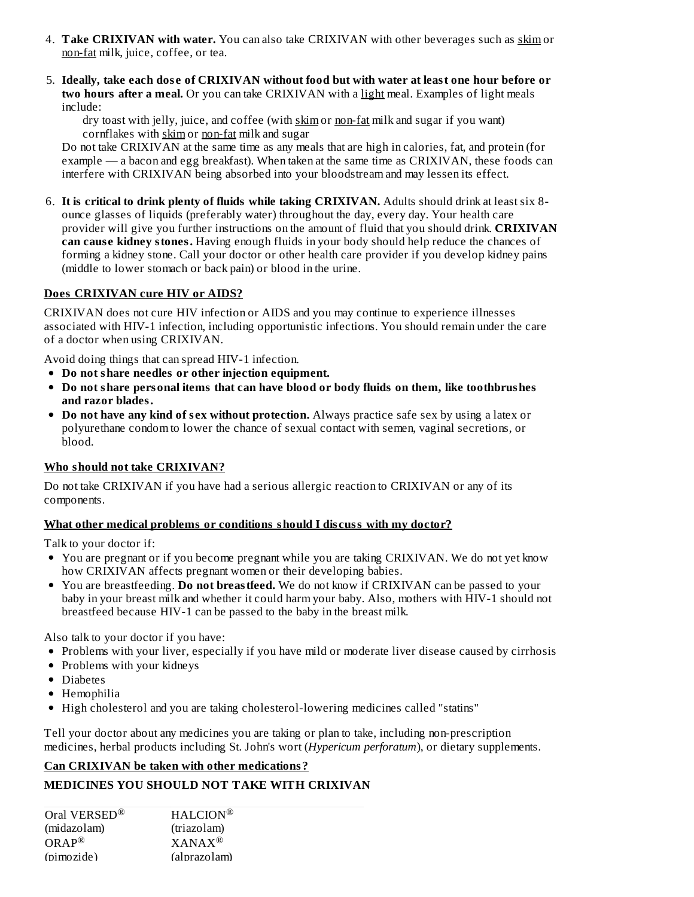- 4. **Take CRIXIVAN with water.** You can also take CRIXIVAN with other beverages such as skim or non-fat milk, juice, coffee, or tea.
- 5. **Ideally, take each dos e of CRIXIVAN without food but with water at least one hour before or two hours after a meal.** Or you can take CRIXIVAN with a light meal. Examples of light meals include:

dry toast with jelly, juice, and coffee (with skim or non-fat milk and sugar if you want) cornflakes with skim or non-fat milk and sugar

Do not take CRIXIVAN at the same time as any meals that are high in calories, fat, and protein (for example — a bacon and egg breakfast). When taken at the same time as CRIXIVAN, these foods can interfere with CRIXIVAN being absorbed into your bloodstream and may lessen its effect.

6. **It is critical to drink plenty of fluids while taking CRIXIVAN.** Adults should drink at least six 8 ounce glasses of liquids (preferably water) throughout the day, every day. Your health care provider will give you further instructions on the amount of fluid that you should drink. **CRIXIVAN can caus e kidney stones.** Having enough fluids in your body should help reduce the chances of forming a kidney stone. Call your doctor or other health care provider if you develop kidney pains (middle to lower stomach or back pain) or blood in the urine.

# **Does CRIXIVAN cure HIV or AIDS?**

CRIXIVAN does not cure HIV infection or AIDS and you may continue to experience illnesses associated with HIV-1 infection, including opportunistic infections. You should remain under the care of a doctor when using CRIXIVAN.

Avoid doing things that can spread HIV-1 infection.

- **Do not share needles or other injection equipment.**
- **Do not share personal items that can have blood or body fluids on them, like toothbrushes and razor blades.**
- **Do not have any kind of s ex without protection.** Always practice safe sex by using a latex or polyurethane condom to lower the chance of sexual contact with semen, vaginal secretions, or blood.

# **Who should not take CRIXIVAN?**

Do not take CRIXIVAN if you have had a serious allergic reaction to CRIXIVAN or any of its components.

# **What other medical problems or conditions should I dis cuss with my doctor?**

Talk to your doctor if:

- You are pregnant or if you become pregnant while you are taking CRIXIVAN. We do not yet know how CRIXIVAN affects pregnant women or their developing babies.
- You are breastfeeding. **Do not breastfeed.** We do not know if CRIXIVAN can be passed to your baby in your breast milk and whether it could harm your baby. Also, mothers with HIV-1 should not breastfeed because HIV-1 can be passed to the baby in the breast milk.

Also talk to your doctor if you have:

- Problems with your liver, especially if you have mild or moderate liver disease caused by cirrhosis
- Problems with your kidneys
- Diabetes
- Hemophilia
- High cholesterol and you are taking cholesterol-lowering medicines called "statins"

Tell your doctor about any medicines you are taking or plan to take, including non-prescription medicines, herbal products including St. John's wort (*Hypericum perforatum*), or dietary supplements.

# **Can CRIXIVAN be taken with other medications?**

# **MEDICINES YOU SHOULD NOT TAKE WITH CRIXIVAN**

| Oral VERSED <sup>®</sup> | $HALCION^®$         |
|--------------------------|---------------------|
| (midazolam)              | (triazolam)         |
| $ORAP^{\circledR}$       | $XANAX^{\circledR}$ |
| (pimozide)               | (alprazolam)        |
|                          |                     |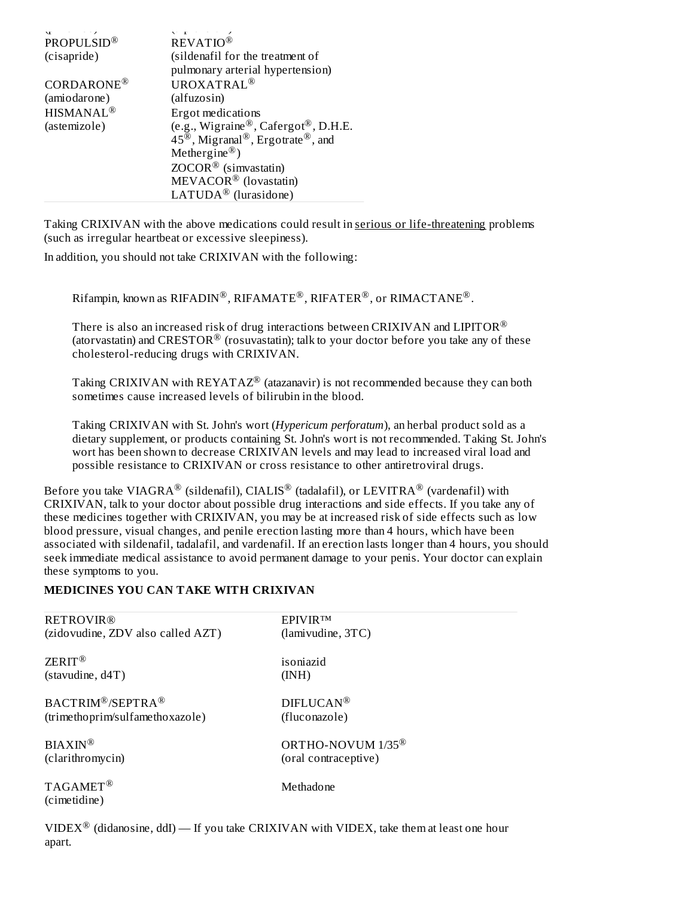| ----- -- -- - ,<br>PROPULSID <sup>®</sup><br>(cisapride) | \---r-------<br><b>REVATIO®</b><br>(sildenafil for the treatment of<br>pulmonary arterial hypertension) |
|----------------------------------------------------------|---------------------------------------------------------------------------------------------------------|
| CORDARONE <sup>®</sup><br>(amiodarone)                   | <b>UROXATRAL<sup>®</sup></b><br>(alfuzosin)                                                             |
| <b>HISMANAL®</b><br>(astemizole)                         | Ergot medications<br>(e.g., Wigraine <sup>®</sup> , Cafergot <sup>®</sup> , D.H.E.                      |
|                                                          | $45^{\circledR}$ , Migranal <sup>®</sup> , Ergotrate <sup>®</sup> , and<br>Methergine <sup>®</sup> )    |
|                                                          | $ZOCOR^{\circledR}$ (simvastatin)<br>MEVACOR <sup>®</sup> (lovastatin)                                  |
|                                                          | $LATUDA^@$ (lurasidone)                                                                                 |

Taking CRIXIVAN with the above medications could result in serious or life-threatening problems (such as irregular heartbeat or excessive sleepiness).

In addition, you should not take CRIXIVAN with the following:

Rifampin, known as RIFADIN<sup>®</sup>, RIFAMATE<sup>®</sup>, RIFATER<sup>®</sup>, or RIMACTANE<sup>®</sup>.

There is also an increased risk of drug interactions between CRIXIVAN and LIPITOR  $^\circledR$ (atorvastatin) and CRESTOR® (rosuvastatin); talk to your doctor before you take any of these cholesterol-reducing drugs with CRIXIVAN.

Taking CRIXIVAN with REYATAZ $^{\circledR}$  (atazanavir) is not recommended because they can both sometimes cause increased levels of bilirubin in the blood.

Taking CRIXIVAN with St. John's wort (*Hypericum perforatum*), an herbal product sold as a dietary supplement, or products containing St. John's wort is not recommended. Taking St. John's wort has been shown to decrease CRIXIVAN levels and may lead to increased viral load and possible resistance to CRIXIVAN or cross resistance to other antiretroviral drugs.

Before you take VIAGRA $^\circledR$  (sildenafil), CIALIS $^\circledR$  (tadalafil), or LEVITRA $^\circledR$  (vardenafil) with CRIXIVAN, talk to your doctor about possible drug interactions and side effects. If you take any of these medicines together with CRIXIVAN, you may be at increased risk of side effects such as low blood pressure, visual changes, and penile erection lasting more than 4 hours, which have been associated with sildenafil, tadalafil, and vardenafil. If an erection lasts longer than 4 hours, you should seek immediate medical assistance to avoid permanent damage to your penis. Your doctor can explain these symptoms to you.

#### **MEDICINES YOU CAN TAKE WITH CRIXIVAN**

| <b>RETROVIR®</b>                                    | <b>EPIVIRTM</b>                                       |
|-----------------------------------------------------|-------------------------------------------------------|
| (zidovudine, ZDV also called AZT)                   | (lamivudine, 3TC)                                     |
| $ZERT^{\circledR}$<br>$(\text{stavudine}, d4T)$     | isoniazid<br>(INH)                                    |
| BACTRIM®/SEPTRA®<br>(trimethoprim/sulfamethoxazole) | DIFLUCAN <sup>®</sup><br>(fluconazole)                |
| $BIAXIN^{\circledR}$<br>(clarithromycin)            | ORTHO-NOVUM 1/35 <sup>®</sup><br>(oral contraceptive) |
| $TAGAMET^{\circledR}$<br>(cimetidine)               | Methadone                                             |
|                                                     |                                                       |

VIDEX $^{\circledR}$  (didanosine, ddI) — If you take CRIXIVAN with VIDEX, take them at least one hour apart.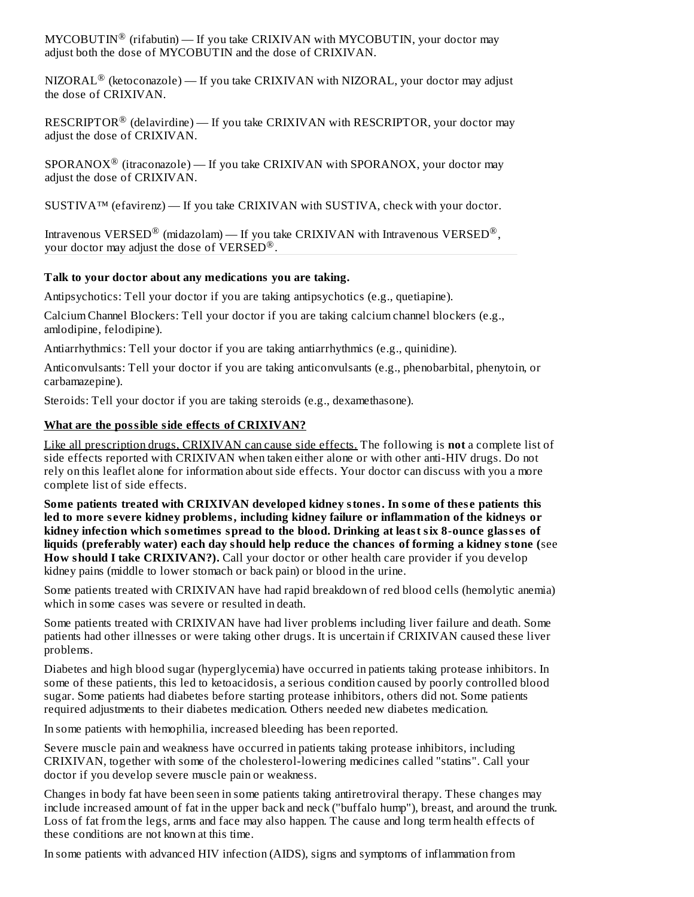$\mathsf{MYCOBUTIN}^\circledR$  (rifabutin) — If you take CRIXIVAN with MYCOBUTIN, your doctor may adjust both the dose of MYCOBUTIN and the dose of CRIXIVAN.

 $\text{NIZORAL}^{\circledR}$  (ketoconazole) — If you take CRIXIVAN with NIZORAL, your doctor may adjust the dose of CRIXIVAN.

RESCRIPTOR<sup>®</sup> (delavirdine) — If you take CRIXIVAN with RESCRIPTOR, your doctor may adjust the dose of CRIXIVAN.

 $SPORANOX^{\circledR}$  (itraconazole) — If you take CRIXIVAN with SPORANOX, your doctor may adjust the dose of CRIXIVAN.

SUSTIVA™ (efavirenz) — If you take CRIXIVAN with SUSTIVA, check with your doctor.

Intravenous  $\mathrm{VERSED}^\circledR$  (midazolam) — If you take CRIXIVAN with Intravenous  $\mathrm{VERSED}^\circledR,$ your doctor may adjust the dose of  $\text{VERSED}^{\circledR}$  .

#### **Talk to your doctor about any medications you are taking.**

Antipsychotics: Tell your doctor if you are taking antipsychotics (e.g., quetiapine).

Calcium Channel Blockers: Tell your doctor if you are taking calcium channel blockers (e.g., amlodipine, felodipine).

Antiarrhythmics: Tell your doctor if you are taking antiarrhythmics (e.g., quinidine).

Anticonvulsants: Tell your doctor if you are taking anticonvulsants (e.g., phenobarbital, phenytoin, or carbamazepine).

Steroids: Tell your doctor if you are taking steroids (e.g., dexamethasone).

#### **What are the possible side effects of CRIXIVAN?**

Like all prescription drugs, CRIXIVAN can cause side effects. The following is **not** a complete list of side effects reported with CRIXIVAN when taken either alone or with other anti-HIV drugs. Do not rely on this leaflet alone for information about side effects. Your doctor can discuss with you a more complete list of side effects.

**Some patients treated with CRIXIVAN developed kidney stones. In some of thes e patients this led to more s evere kidney problems, including kidney failure or inflammation of the kidneys or kidney infection which sometimes spread to the blood. Drinking at least six 8-ounce glass es of liquids (preferably water) each day should help reduce the chances of forming a kidney stone (**see **How should I take CRIXIVAN?).** Call your doctor or other health care provider if you develop kidney pains (middle to lower stomach or back pain) or blood in the urine.

Some patients treated with CRIXIVAN have had rapid breakdown of red blood cells (hemolytic anemia) which in some cases was severe or resulted in death.

Some patients treated with CRIXIVAN have had liver problems including liver failure and death. Some patients had other illnesses or were taking other drugs. It is uncertain if CRIXIVAN caused these liver problems.

Diabetes and high blood sugar (hyperglycemia) have occurred in patients taking protease inhibitors. In some of these patients, this led to ketoacidosis, a serious condition caused by poorly controlled blood sugar. Some patients had diabetes before starting protease inhibitors, others did not. Some patients required adjustments to their diabetes medication. Others needed new diabetes medication.

In some patients with hemophilia, increased bleeding has been reported.

Severe muscle pain and weakness have occurred in patients taking protease inhibitors, including CRIXIVAN, together with some of the cholesterol-lowering medicines called "statins". Call your doctor if you develop severe muscle pain or weakness.

Changes in body fat have been seen in some patients taking antiretroviral therapy. These changes may include increased amount of fat in the upper back and neck ("buffalo hump"), breast, and around the trunk. Loss of fat from the legs, arms and face may also happen. The cause and long term health effects of these conditions are not known at this time.

In some patients with advanced HIV infection (AIDS), signs and symptoms of inflammation from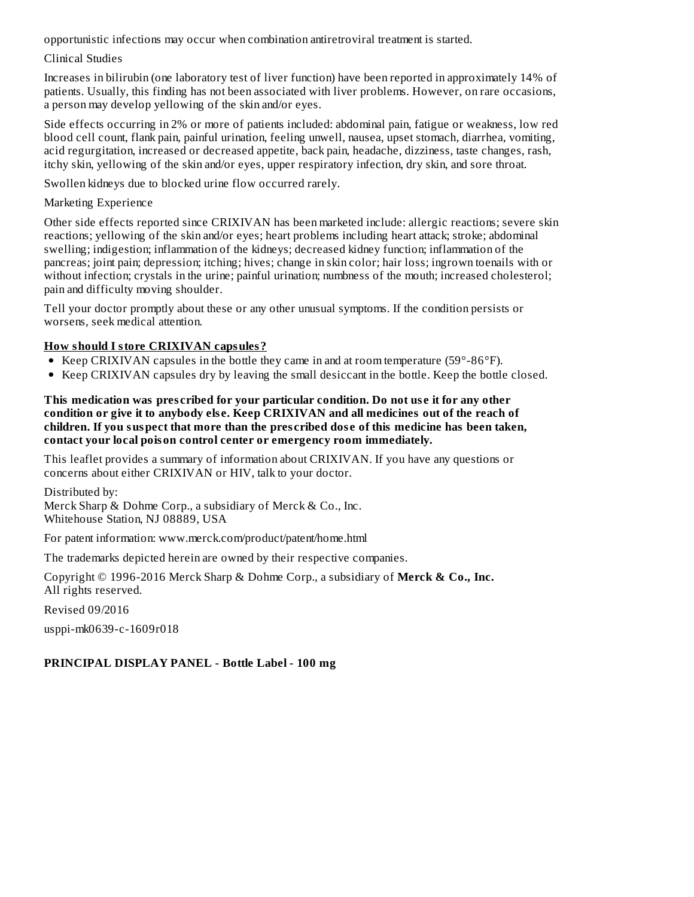opportunistic infections may occur when combination antiretroviral treatment is started.

#### Clinical Studies

Increases in bilirubin (one laboratory test of liver function) have been reported in approximately 14% of patients. Usually, this finding has not been associated with liver problems. However, on rare occasions, a person may develop yellowing of the skin and/or eyes.

Side effects occurring in 2% or more of patients included: abdominal pain, fatigue or weakness, low red blood cell count, flank pain, painful urination, feeling unwell, nausea, upset stomach, diarrhea, vomiting, acid regurgitation, increased or decreased appetite, back pain, headache, dizziness, taste changes, rash, itchy skin, yellowing of the skin and/or eyes, upper respiratory infection, dry skin, and sore throat.

Swollen kidneys due to blocked urine flow occurred rarely.

Marketing Experience

Other side effects reported since CRIXIVAN has been marketed include: allergic reactions; severe skin reactions; yellowing of the skin and/or eyes; heart problems including heart attack; stroke; abdominal swelling; indigestion; inflammation of the kidneys; decreased kidney function; inflammation of the pancreas; joint pain; depression; itching; hives; change in skin color; hair loss; ingrown toenails with or without infection; crystals in the urine; painful urination; numbness of the mouth; increased cholesterol; pain and difficulty moving shoulder.

Tell your doctor promptly about these or any other unusual symptoms. If the condition persists or worsens, seek medical attention.

## **How should I store CRIXIVAN capsules?**

- Keep CRIXIVAN capsules in the bottle they came in and at room temperature (59°-86°F).
- Keep CRIXIVAN capsules dry by leaving the small desiccant in the bottle. Keep the bottle closed.

#### **This medication was pres cribed for your particular condition. Do not us e it for any other condition or give it to anybody els e. Keep CRIXIVAN and all medicines out of the reach of children. If you suspect that more than the pres cribed dos e of this medicine has been taken, contact your local poison control center or emergency room immediately.**

This leaflet provides a summary of information about CRIXIVAN. If you have any questions or concerns about either CRIXIVAN or HIV, talk to your doctor.

Distributed by:

Merck Sharp & Dohme Corp., a subsidiary of Merck & Co., Inc. Whitehouse Station, NJ 08889, USA

For patent information: www.merck.com/product/patent/home.html

The trademarks depicted herein are owned by their respective companies.

Copyright © 1996-2016 Merck Sharp & Dohme Corp., a subsidiary of **Merck & Co., Inc.** All rights reserved.

Revised 09/2016

usppi-mk0639-c-1609r018

### **PRINCIPAL DISPLAY PANEL - Bottle Label - 100 mg**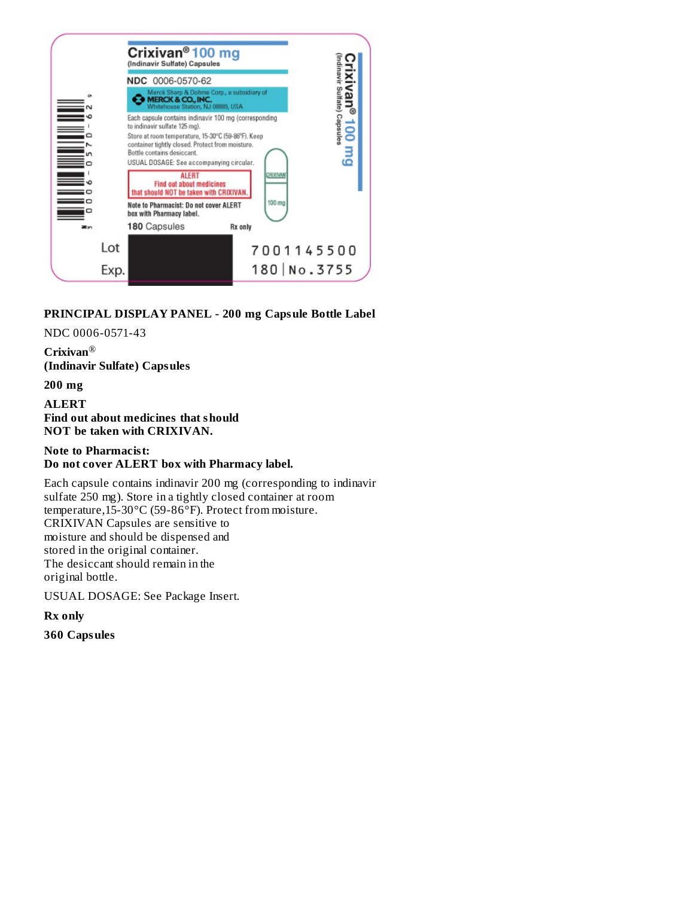

## **PRINCIPAL DISPLAY PANEL - 200 mg Capsule Bottle Label**

NDC 0006-0571-43

**Crixivan** ®**(Indinavir Sulfate) Capsules**

**200 mg**

**ALERT Find out about medicines that should NOT be taken with CRIXIVAN.**

#### **Note to Pharmacist: Do not cover ALERT box with Pharmacy label.**

Each capsule contains indinavir 200 mg (corresponding to indinavir sulfate 250 mg). Store in a tightly closed container at room temperature,15-30°C (59-86°F). Protect from moisture. CRIXIVAN Capsules are sensitive to moisture and should be dispensed and stored in the original container. The desiccant should remain in the original bottle.

USUAL DOSAGE: See Package Insert.

**Rx only**

**360 Capsules**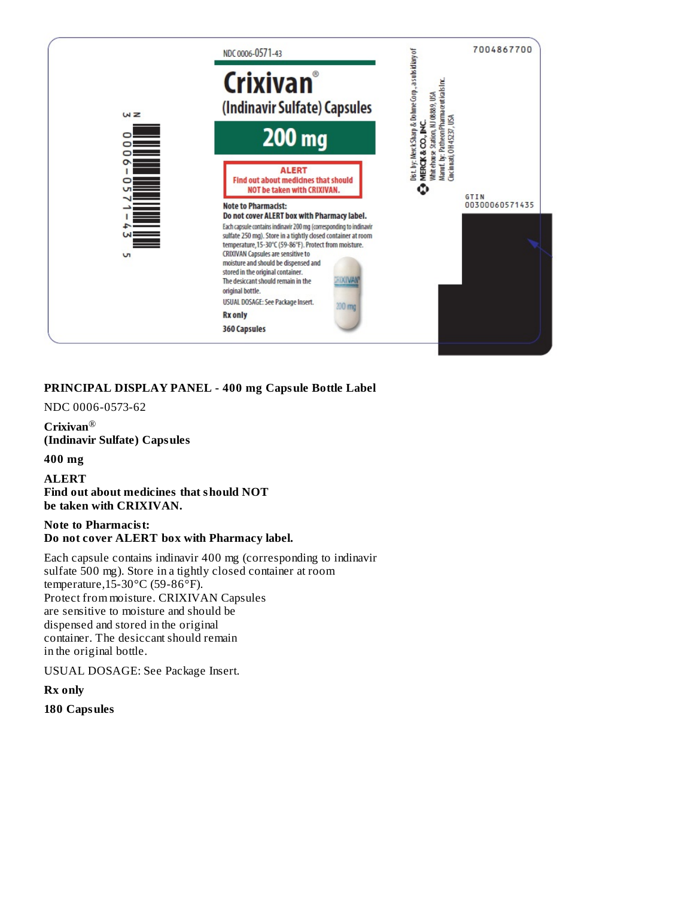

# **PRINCIPAL DISPLAY PANEL - 400 mg Capsule Bottle Label**

NDC 0006-0573-62

**Crixivan** ®**(Indinavir Sulfate) Capsules**

#### **400 mg**

**ALERT Find out about medicines that should NOT be taken with CRIXIVAN.**

#### **Note to Pharmacist: Do not cover ALERT box with Pharmacy label.**

Each capsule contains indinavir 400 mg (corresponding to indinavir sulfate 500 mg). Store in a tightly closed container at room temperature,15-30°C (59-86°F). Protect from moisture. CRIXIVAN Capsules are sensitive to moisture and should be dispensed and stored in the original container. The desiccant should remain in the original bottle.

USUAL DOSAGE: See Package Insert.

**Rx only**

**180 Capsules**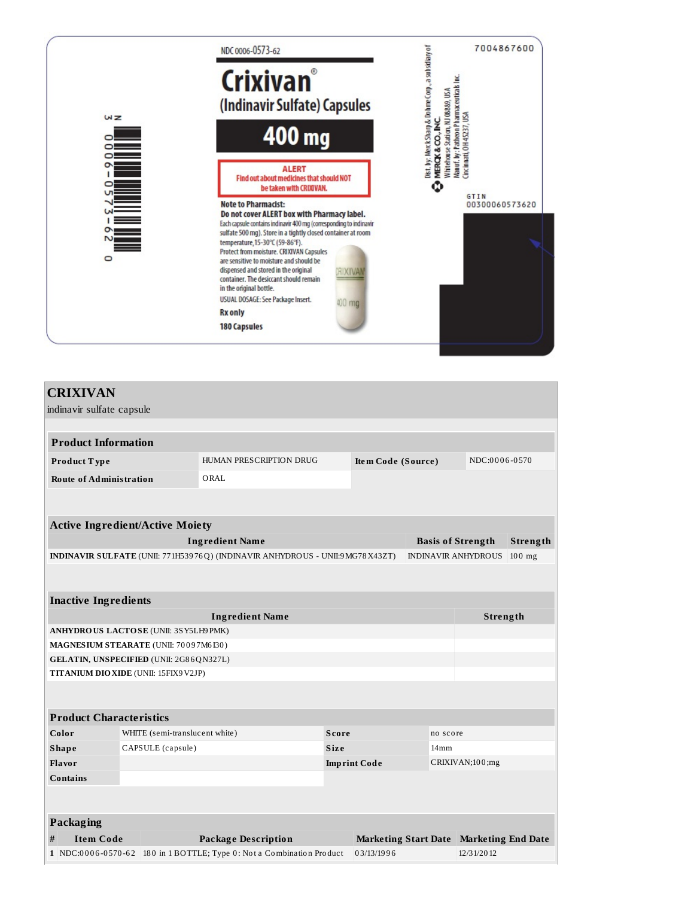

|   | <b>CRIXIVAN</b>                                 |  |                                                     |                                                                              |                             |                             |                              |                            |          |
|---|-------------------------------------------------|--|-----------------------------------------------------|------------------------------------------------------------------------------|-----------------------------|-----------------------------|------------------------------|----------------------------|----------|
|   | indinavir sulfate capsule                       |  |                                                     |                                                                              |                             |                             |                              |                            |          |
|   |                                                 |  |                                                     |                                                                              |                             |                             |                              |                            |          |
|   | <b>Product Information</b>                      |  |                                                     |                                                                              |                             |                             |                              |                            |          |
|   | Product Type                                    |  |                                                     | HUMAN PRESCRIPTION DRUG                                                      |                             | Item Code (Source)          |                              | NDC:0006-0570              |          |
|   | <b>Route of Administration</b>                  |  |                                                     | ORAL                                                                         |                             |                             |                              |                            |          |
|   |                                                 |  |                                                     |                                                                              |                             |                             |                              |                            |          |
|   |                                                 |  |                                                     |                                                                              |                             |                             |                              |                            |          |
|   | <b>Active Ingredient/Active Moiety</b>          |  |                                                     |                                                                              |                             |                             |                              |                            |          |
|   |                                                 |  |                                                     | <b>Ingredient Name</b>                                                       |                             |                             |                              | <b>Basis of Strength</b>   | Strength |
|   |                                                 |  |                                                     | INDINAVIR SULFATE (UNII: 771H53976Q) (INDINAVIR ANHYDROUS - UNII:9MG78X43ZT) |                             |                             |                              | <b>INDINAVIR ANHYDROUS</b> | $100$ mg |
|   |                                                 |  |                                                     |                                                                              |                             |                             |                              |                            |          |
|   | <b>Inactive Ingredients</b>                     |  |                                                     |                                                                              |                             |                             |                              |                            |          |
|   |                                                 |  |                                                     | <b>Ingredient Name</b>                                                       |                             |                             |                              | Strength                   |          |
|   | <b>ANHYDRO US LACTO SE (UNII: 3S Y5LH9 PMK)</b> |  |                                                     |                                                                              |                             |                             |                              |                            |          |
|   | MAGNESIUM STEARATE (UNII: 70097M6I30)           |  |                                                     |                                                                              |                             |                             |                              |                            |          |
|   | GELATIN, UNSPECIFIED (UNII: 2G86QN327L)         |  |                                                     |                                                                              |                             |                             |                              |                            |          |
|   | TITANIUM DIO XIDE (UNII: 15FIX9 V2JP)           |  |                                                     |                                                                              |                             |                             |                              |                            |          |
|   |                                                 |  |                                                     |                                                                              |                             |                             |                              |                            |          |
|   |                                                 |  |                                                     |                                                                              |                             |                             |                              |                            |          |
|   | <b>Product Characteristics</b>                  |  |                                                     |                                                                              |                             |                             |                              |                            |          |
|   | Color                                           |  | WHITE (semi-translucent white)<br>CAPSULE (capsule) |                                                                              | <b>Score</b><br><b>Size</b> |                             | no score<br>14 <sub>mm</sub> |                            |          |
|   | <b>Shape</b><br><b>Flavor</b>                   |  |                                                     |                                                                              |                             |                             |                              | CRIXIVAN;100;mg            |          |
|   | <b>Imprint Code</b><br><b>Contains</b>          |  |                                                     |                                                                              |                             |                             |                              |                            |          |
|   |                                                 |  |                                                     |                                                                              |                             |                             |                              |                            |          |
|   |                                                 |  |                                                     |                                                                              |                             |                             |                              |                            |          |
|   | <b>Packaging</b>                                |  |                                                     |                                                                              |                             |                             |                              |                            |          |
| # | <b>Item Code</b>                                |  |                                                     | <b>Package Description</b>                                                   |                             | <b>Marketing Start Date</b> |                              | <b>Marketing End Date</b>  |          |
|   |                                                 |  |                                                     | $1$ NDC:0006-0570-62 180 in 1 BOTTLE; Type 0: Not a Combination Product      |                             | 03/13/1996                  |                              | 12/31/2012                 |          |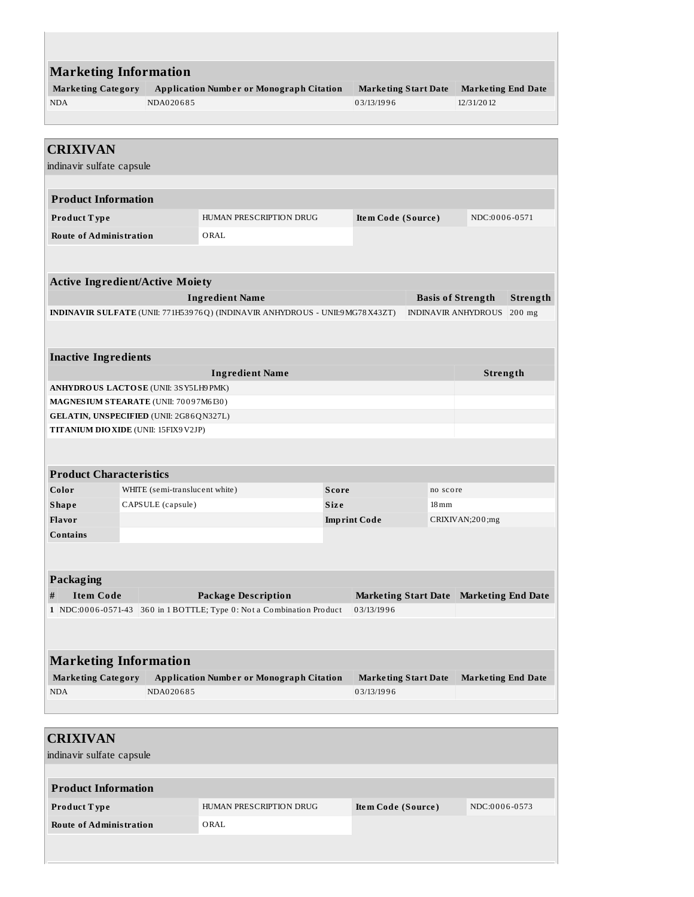| <b>Marketing Information</b>                    |                             |                           |  |  |  |  |  |
|-------------------------------------------------|-----------------------------|---------------------------|--|--|--|--|--|
| <b>Application Number or Monograph Citation</b> | <b>Marketing Start Date</b> | <b>Marketing End Date</b> |  |  |  |  |  |
| NDA020685                                       | 03/13/1996                  | 12/31/2012                |  |  |  |  |  |
|                                                 |                             |                           |  |  |  |  |  |

| <b>CRIXIVAN</b><br>indinavir sulfate capsule |                                                                       |                                |                                                                              |              |                     |                             |                            |          |  |
|----------------------------------------------|-----------------------------------------------------------------------|--------------------------------|------------------------------------------------------------------------------|--------------|---------------------|-----------------------------|----------------------------|----------|--|
|                                              |                                                                       |                                |                                                                              |              |                     |                             |                            |          |  |
| <b>Product Information</b>                   |                                                                       |                                |                                                                              |              |                     |                             |                            |          |  |
| Product Type                                 |                                                                       |                                | HUMAN PRESCRIPTION DRUG                                                      |              | Item Code (Source)  |                             | NDC:0006-0571              |          |  |
| <b>Route of Administration</b>               |                                                                       |                                | ORAL                                                                         |              |                     |                             |                            |          |  |
|                                              |                                                                       |                                |                                                                              |              |                     |                             |                            |          |  |
| <b>Active Ingredient/Active Moiety</b>       |                                                                       |                                |                                                                              |              |                     |                             |                            |          |  |
|                                              |                                                                       |                                | <b>Ingredient Name</b>                                                       |              |                     | <b>Basis of Strength</b>    | Strength                   |          |  |
|                                              |                                                                       |                                | INDINAVIR SULFATE (UNII: 771H53976Q) (INDINAVIR ANHYDROUS - UNII:9MG78X43ZT) |              |                     |                             | <b>INDINAVIR ANHYDROUS</b> | $200$ mg |  |
|                                              |                                                                       |                                |                                                                              |              |                     |                             |                            |          |  |
| <b>Inactive Ingredients</b>                  |                                                                       |                                |                                                                              |              |                     |                             |                            |          |  |
|                                              |                                                                       |                                | <b>Ingredient Name</b>                                                       |              |                     |                             | Strength                   |          |  |
| ANHYDROUS LACTOSE (UNII: 3SY5LH9PMK)         |                                                                       |                                |                                                                              |              |                     |                             |                            |          |  |
| <b>MAGNESIUM STEARATE (UNII: 70097M6I30)</b> |                                                                       |                                |                                                                              |              |                     |                             |                            |          |  |
| GELATIN, UNSPECIFIED (UNII: 2G86QN327L)      |                                                                       |                                |                                                                              |              |                     |                             |                            |          |  |
| <b>TITANIUM DIO XIDE (UNII: 15FIX9 V2JP)</b> |                                                                       |                                |                                                                              |              |                     |                             |                            |          |  |
|                                              |                                                                       |                                |                                                                              |              |                     |                             |                            |          |  |
| <b>Product Characteristics</b>               |                                                                       |                                |                                                                              |              |                     |                             |                            |          |  |
| Color                                        |                                                                       | WHITE (semi-translucent white) |                                                                              | <b>Score</b> |                     | no score                    |                            |          |  |
| Shape                                        |                                                                       | CAPSULE (capsule)              |                                                                              | <b>Size</b>  |                     |                             | $18 \,\mathrm{mm}$         |          |  |
| Flavor                                       |                                                                       |                                |                                                                              |              | <b>Imprint Code</b> |                             | CRIXIVAN;200;mg            |          |  |
| <b>Contains</b>                              |                                                                       |                                |                                                                              |              |                     |                             |                            |          |  |
|                                              |                                                                       |                                |                                                                              |              |                     |                             |                            |          |  |
| <b>Packaging</b>                             |                                                                       |                                |                                                                              |              |                     |                             |                            |          |  |
| #<br><b>Item Code</b>                        |                                                                       |                                | <b>Package Description</b>                                                   |              |                     | <b>Marketing Start Date</b> | <b>Marketing End Date</b>  |          |  |
|                                              | 1 NDC:0006-0571-43 360 in 1 BOTTLE; Type 0: Not a Combination Product |                                |                                                                              | 03/13/1996   |                     |                             |                            |          |  |
|                                              |                                                                       |                                |                                                                              |              |                     |                             |                            |          |  |
| <b>Marketing Information</b>                 |                                                                       |                                |                                                                              |              |                     |                             |                            |          |  |
| <b>Marketing Category</b>                    |                                                                       |                                | <b>Application Number or Monograph Citation</b>                              |              |                     | <b>Marketing Start Date</b> | <b>Marketing End Date</b>  |          |  |
| <b>NDA</b>                                   |                                                                       | NDA020685                      |                                                                              |              | 03/13/1996          |                             |                            |          |  |
|                                              |                                                                       |                                |                                                                              |              |                     |                             |                            |          |  |

| <b>CRIXIVAN</b>                |                         |                    |               |
|--------------------------------|-------------------------|--------------------|---------------|
| indinavir sulfate capsule      |                         |                    |               |
|                                |                         |                    |               |
| <b>Product Information</b>     |                         |                    |               |
| Product Type                   | HUMAN PRESCRIPTION DRUG | Item Code (Source) | NDC:0006-0573 |
| <b>Route of Administration</b> | ORAL.                   |                    |               |
|                                |                         |                    |               |
|                                |                         |                    |               |